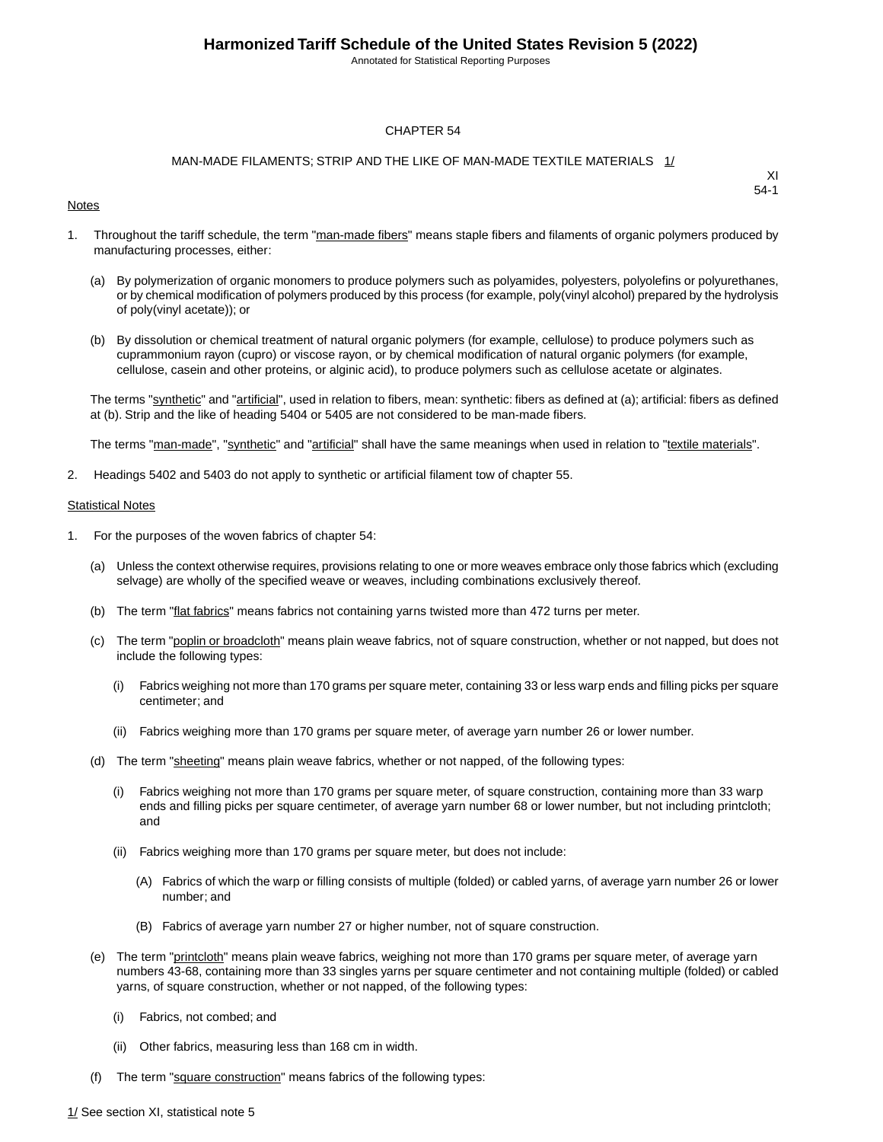Annotated for Statistical Reporting Purposes

#### CHAPTER 54

#### MAN-MADE FILAMENTS; STRIP AND THE LIKE OF MAN-MADE TEXTILE MATERIALS 1/

#### **Notes**

XI 54-1

- 1. Throughout the tariff schedule, the term "man-made fibers" means staple fibers and filaments of organic polymers produced by manufacturing processes, either:
	- (a) By polymerization of organic monomers to produce polymers such as polyamides, polyesters, polyolefins or polyurethanes, or by chemical modification of polymers produced by this process (for example, poly(vinyl alcohol) prepared by the hydrolysis of poly(vinyl acetate)); or
	- (b) By dissolution or chemical treatment of natural organic polymers (for example, cellulose) to produce polymers such as cuprammonium rayon (cupro) or viscose rayon, or by chemical modification of natural organic polymers (for example, cellulose, casein and other proteins, or alginic acid), to produce polymers such as cellulose acetate or alginates.

The terms "synthetic" and "artificial", used in relation to fibers, mean: synthetic: fibers as defined at (a); artificial: fibers as defined at (b). Strip and the like of heading 5404 or 5405 are not considered to be man-made fibers.

The terms "man-made", "synthetic" and "artificial" shall have the same meanings when used in relation to "textile materials".

2. Headings 5402 and 5403 do not apply to synthetic or artificial filament tow of chapter 55.

#### **Statistical Notes**

- 1. For the purposes of the woven fabrics of chapter 54:
	- (a) Unless the context otherwise requires, provisions relating to one or more weaves embrace only those fabrics which (excluding selvage) are wholly of the specified weave or weaves, including combinations exclusively thereof.
	- (b) The term "flat fabrics" means fabrics not containing yarns twisted more than 472 turns per meter.
	- (c) The term "poplin or broadcloth" means plain weave fabrics, not of square construction, whether or not napped, but does not include the following types:
		- (i) Fabrics weighing not more than 170 grams per square meter, containing 33 or less warp ends and filling picks per square centimeter; and
		- (ii) Fabrics weighing more than 170 grams per square meter, of average yarn number 26 or lower number.
	- (d) The term "sheeting" means plain weave fabrics, whether or not napped, of the following types:
		- (i) Fabrics weighing not more than 170 grams per square meter, of square construction, containing more than 33 warp ends and filling picks per square centimeter, of average yarn number 68 or lower number, but not including printcloth; and
		- (ii) Fabrics weighing more than 170 grams per square meter, but does not include:
			- (A) Fabrics of which the warp or filling consists of multiple (folded) or cabled yarns, of average yarn number 26 or lower number; and
			- (B) Fabrics of average yarn number 27 or higher number, not of square construction.
	- (e) The term "printcloth" means plain weave fabrics, weighing not more than 170 grams per square meter, of average yarn numbers 43-68, containing more than 33 singles yarns per square centimeter and not containing multiple (folded) or cabled yarns, of square construction, whether or not napped, of the following types:
		- (i) Fabrics, not combed; and
		- (ii) Other fabrics, measuring less than 168 cm in width.
	- (f) The term "square construction" means fabrics of the following types: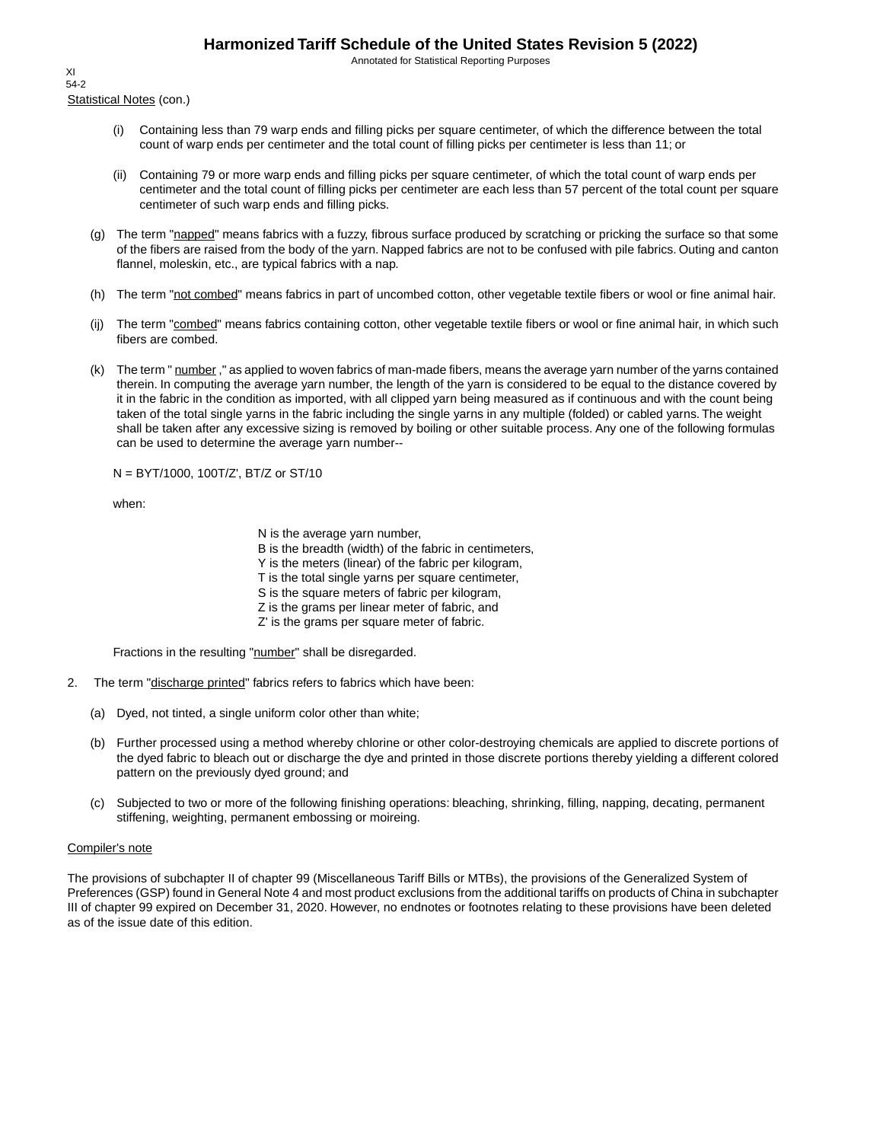Annotated for Statistical Reporting Purposes

Statistical Notes (con.) XI 54-2

- (i) Containing less than 79 warp ends and filling picks per square centimeter, of which the difference between the total count of warp ends per centimeter and the total count of filling picks per centimeter is less than 11; or
- (ii) Containing 79 or more warp ends and filling picks per square centimeter, of which the total count of warp ends per centimeter and the total count of filling picks per centimeter are each less than 57 percent of the total count per square centimeter of such warp ends and filling picks.
- (g) The term "napped" means fabrics with a fuzzy, fibrous surface produced by scratching or pricking the surface so that some of the fibers are raised from the body of the yarn. Napped fabrics are not to be confused with pile fabrics. Outing and canton flannel, moleskin, etc., are typical fabrics with a nap.
- (h) The term "not combed" means fabrics in part of uncombed cotton, other vegetable textile fibers or wool or fine animal hair.
- (ij) The term "combed" means fabrics containing cotton, other vegetable textile fibers or wool or fine animal hair, in which such fibers are combed.
- (k) The term " number," as applied to woven fabrics of man-made fibers, means the average yarn number of the yarns contained therein. In computing the average yarn number, the length of the yarn is considered to be equal to the distance covered by it in the fabric in the condition as imported, with all clipped yarn being measured as if continuous and with the count being taken of the total single yarns in the fabric including the single yarns in any multiple (folded) or cabled yarns. The weight shall be taken after any excessive sizing is removed by boiling or other suitable process. Any one of the following formulas can be used to determine the average yarn number--

N = BYT/1000, 100T/Z', BT/Z or ST/10

when:

N is the average yarn number,

B is the breadth (width) of the fabric in centimeters,

Y is the meters (linear) of the fabric per kilogram,

T is the total single yarns per square centimeter,

S is the square meters of fabric per kilogram,

- Z is the grams per linear meter of fabric, and
- Z' is the grams per square meter of fabric.

Fractions in the resulting "number" shall be disregarded.

- 2. The term "discharge printed" fabrics refers to fabrics which have been:
	- (a) Dyed, not tinted, a single uniform color other than white;
	- (b) Further processed using a method whereby chlorine or other color-destroying chemicals are applied to discrete portions of the dyed fabric to bleach out or discharge the dye and printed in those discrete portions thereby yielding a different colored pattern on the previously dyed ground; and
	- (c) Subjected to two or more of the following finishing operations: bleaching, shrinking, filling, napping, decating, permanent stiffening, weighting, permanent embossing or moireing.

#### Compiler's note

The provisions of subchapter II of chapter 99 (Miscellaneous Tariff Bills or MTBs), the provisions of the Generalized System of Preferences (GSP) found in General Note 4 and most product exclusions from the additional tariffs on products of China in subchapter III of chapter 99 expired on December 31, 2020. However, no endnotes or footnotes relating to these provisions have been deleted as of the issue date of this edition.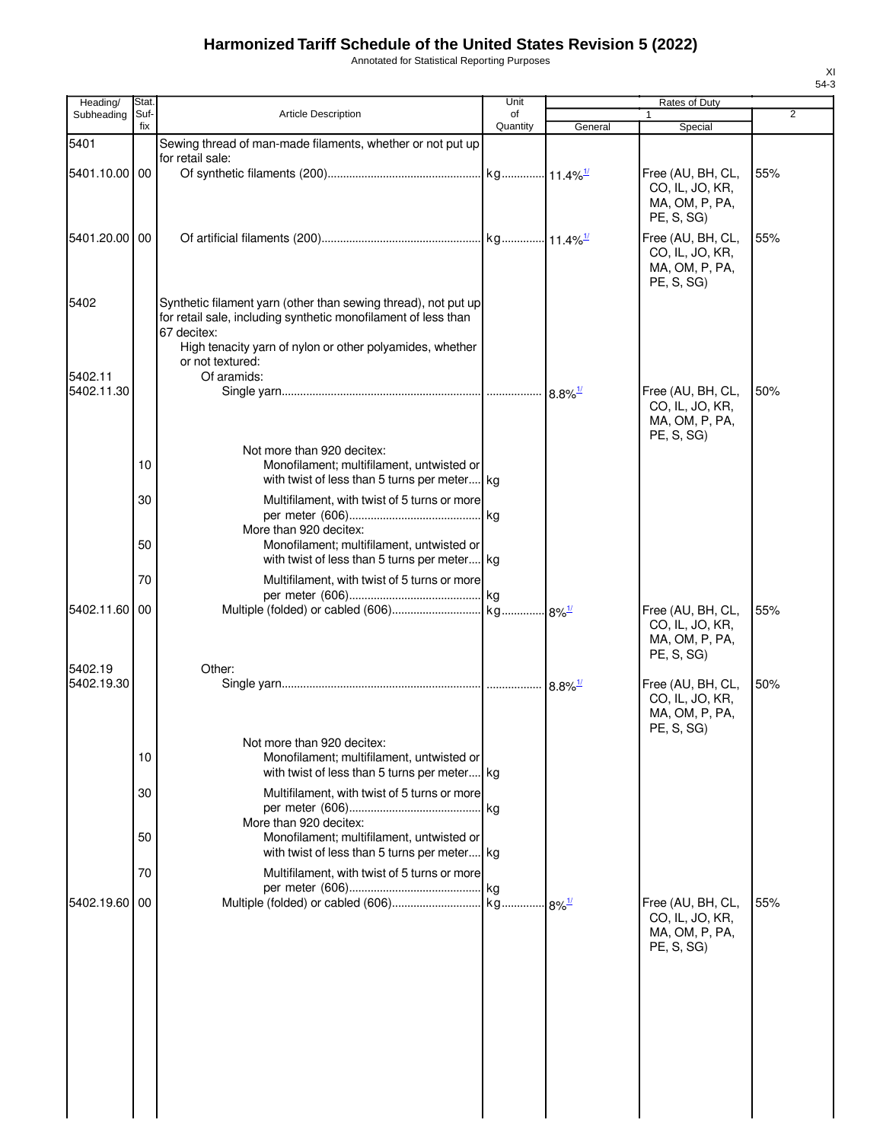Annotated for Statistical Reporting Purposes

| Heading/              | Stat.       |                                                                                                                                                                                                                                 | Unit           |                       | Rates of Duty                                                        |                |
|-----------------------|-------------|---------------------------------------------------------------------------------------------------------------------------------------------------------------------------------------------------------------------------------|----------------|-----------------------|----------------------------------------------------------------------|----------------|
| Subheading            | Suf-<br>fix | <b>Article Description</b>                                                                                                                                                                                                      | of<br>Quantity | General               | 1<br>Special                                                         | $\overline{2}$ |
| 5401                  |             | Sewing thread of man-made filaments, whether or not put up                                                                                                                                                                      |                |                       |                                                                      |                |
| 5401.10.00 00         |             | for retail sale:                                                                                                                                                                                                                |                |                       | Free (AU, BH, CL,<br>CO, IL, JO, KR,<br>MA, OM, P, PA,<br>PE, S, SG) | 55%            |
| 5401.20.00 00         |             |                                                                                                                                                                                                                                 |                |                       | Free (AU, BH, CL,<br>CO, IL, JO, KR,<br>MA, OM, P, PA,<br>PE, S, SG) | 55%            |
| 5402                  |             | Synthetic filament yarn (other than sewing thread), not put up<br>for retail sale, including synthetic monofilament of less than<br>67 decitex:<br>High tenacity yarn of nylon or other polyamides, whether<br>or not textured: |                |                       |                                                                      |                |
| 5402.11               |             | Of aramids:                                                                                                                                                                                                                     |                |                       |                                                                      |                |
| 5402.11.30            |             |                                                                                                                                                                                                                                 |                | $8.8\%$ <sup>1/</sup> | Free (AU, BH, CL,<br>CO, IL, JO, KR,<br>MA, OM, P, PA,<br>PE, S, SG) | 50%            |
|                       | 10          | Not more than 920 decitex:<br>Monofilament; multifilament, untwisted or<br>with twist of less than 5 turns per meter kg                                                                                                         |                |                       |                                                                      |                |
|                       | 30          | Multifilament, with twist of 5 turns or more<br>More than 920 decitex:                                                                                                                                                          |                |                       |                                                                      |                |
|                       | 50          | Monofilament; multifilament, untwisted or<br>with twist of less than 5 turns per meter kg                                                                                                                                       |                |                       |                                                                      |                |
| 5402.11.60            | 70<br>00    | Multifilament, with twist of 5 turns or more                                                                                                                                                                                    |                |                       | Free (AU, BH, CL,                                                    | 55%            |
|                       |             |                                                                                                                                                                                                                                 |                |                       | CO, IL, JO, KR,<br>MA, OM, P, PA,<br>PE, S, SG)                      |                |
| 5402.19<br>5402.19.30 |             | Other:                                                                                                                                                                                                                          |                |                       | Free (AU, BH, CL,<br>CO, IL, JO, KR,<br>MA, OM, P, PA,<br>PE, S, SG) | 50%            |
|                       | 10          | Not more than 920 decitex:<br>Monofilament; multifilament, untwisted or<br>with twist of less than 5 turns per meter kg                                                                                                         |                |                       |                                                                      |                |
|                       | 30          | Multifilament, with twist of 5 turns or more<br>More than 920 decitex:                                                                                                                                                          |                |                       |                                                                      |                |
|                       | 50          | Monofilament; multifilament, untwisted or<br>with twist of less than 5 turns per meter kg                                                                                                                                       |                |                       |                                                                      |                |
|                       | 70          | Multifilament, with twist of 5 turns or more                                                                                                                                                                                    |                |                       |                                                                      |                |
| 5402.19.60            | 00          |                                                                                                                                                                                                                                 |                |                       | Free (AU, BH, CL,<br>CO, IL, JO, KR,<br>MA, OM, P, PA,<br>PE, S, SG) | 55%            |
|                       |             |                                                                                                                                                                                                                                 |                |                       |                                                                      |                |
|                       |             |                                                                                                                                                                                                                                 |                |                       |                                                                      |                |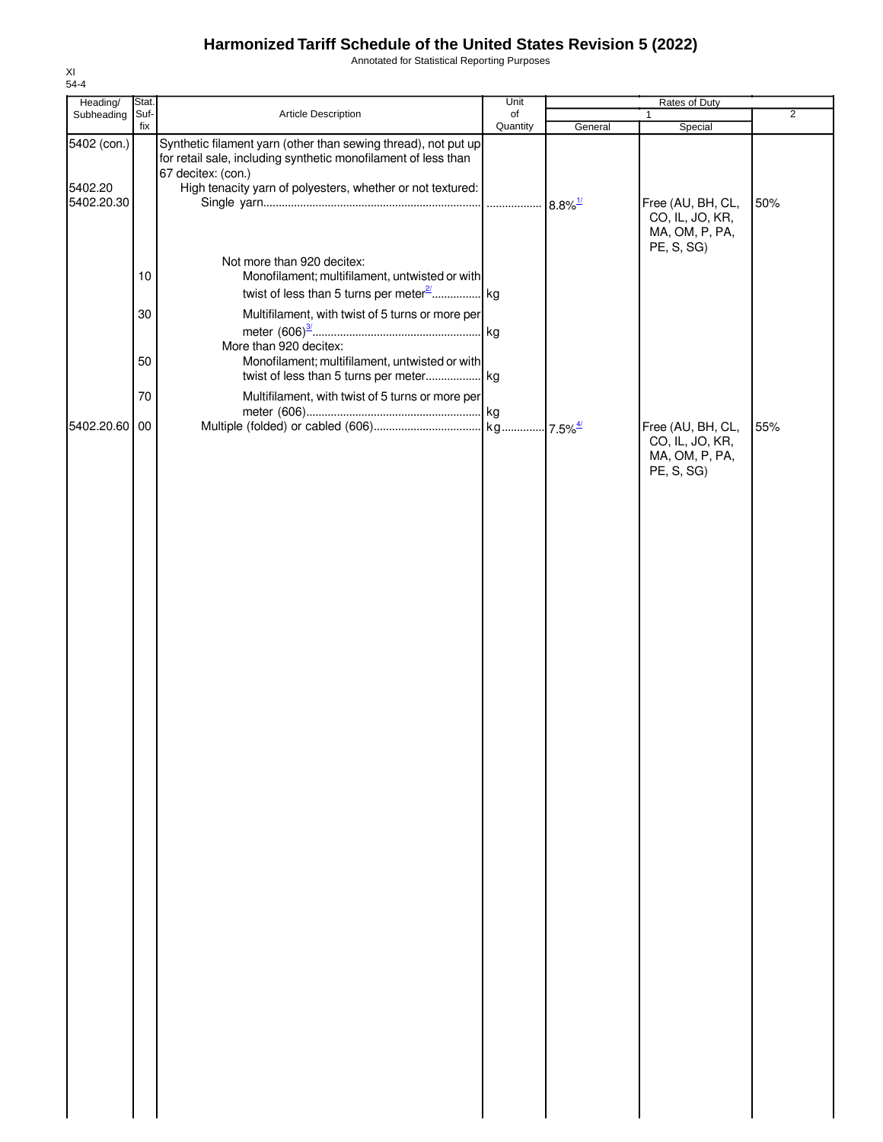Annotated for Statistical Reporting Purposes

| Heading/              | Stat.       |                                                                                                                                                        | Unit           |         | Rates of Duty                                                        |                |
|-----------------------|-------------|--------------------------------------------------------------------------------------------------------------------------------------------------------|----------------|---------|----------------------------------------------------------------------|----------------|
| Subheading            | Suf-<br>fix | Article Description                                                                                                                                    | of<br>Quantity | General | 1<br>Special                                                         | $\overline{2}$ |
| 5402 (con.)           |             | Synthetic filament yarn (other than sewing thread), not put up<br>for retail sale, including synthetic monofilament of less than<br>67 decitex: (con.) |                |         |                                                                      |                |
| 5402.20<br>5402.20.30 |             | High tenacity yarn of polyesters, whether or not textured:                                                                                             |                |         | Free (AU, BH, CL,<br>CO, IL, JO, KR,<br>MA, OM, P, PA,               | 50%            |
|                       | 10<br>30    | Not more than 920 decitex:<br>Monofilament; multifilament, untwisted or with<br>Multifilament, with twist of 5 turns or more per                       |                |         | PE, S, SG)                                                           |                |
|                       | 50          | More than 920 decitex:<br>Monofilament; multifilament, untwisted or with                                                                               |                |         |                                                                      |                |
|                       | 70          | Multifilament, with twist of 5 turns or more per                                                                                                       |                |         |                                                                      |                |
| 5402.20.60 00         |             |                                                                                                                                                        |                |         | Free (AU, BH, CL,<br>CO, IL, JO, KR,<br>MA, OM, P, PA,<br>PE, S, SG) | 55%            |
|                       |             |                                                                                                                                                        |                |         |                                                                      |                |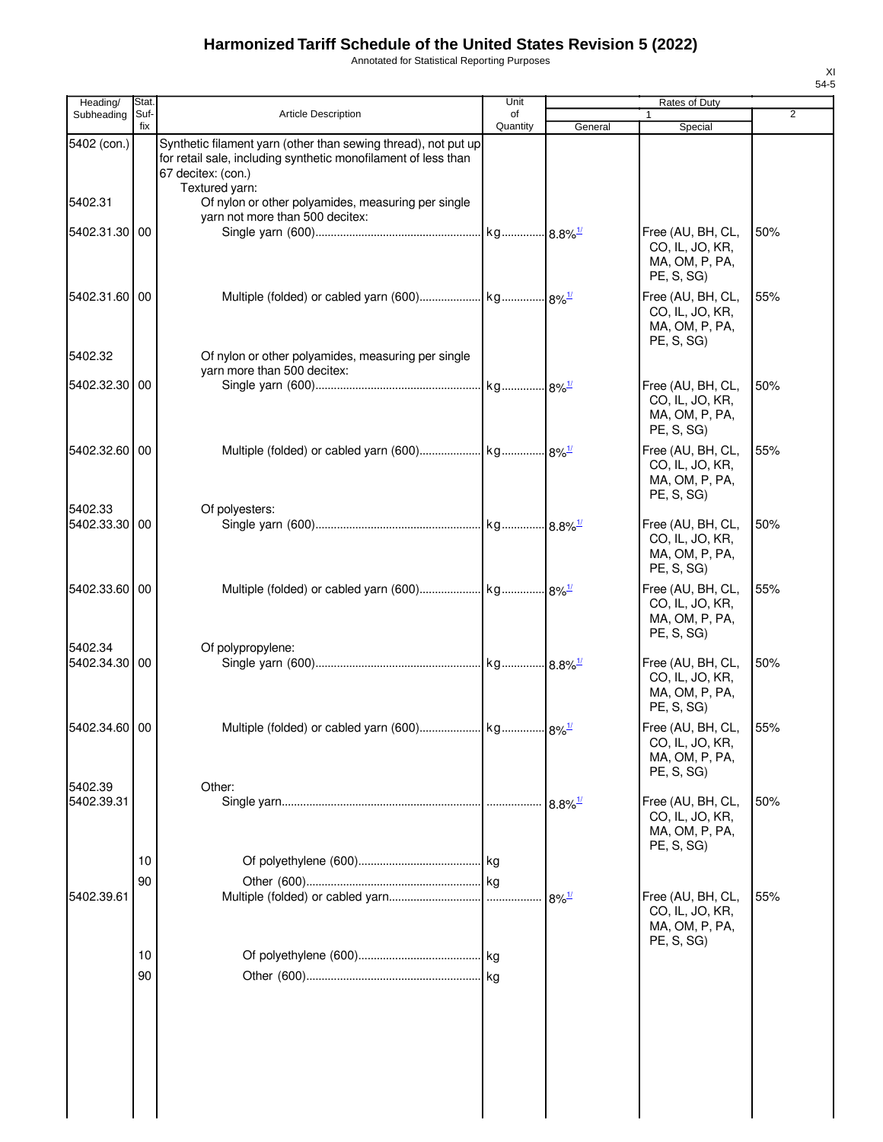Annotated for Statistical Reporting Purposes

| Heading/                 | Stat.       |                                                                                                                                                                          | Unit           |                       | Rates of Duty                                                        |                |
|--------------------------|-------------|--------------------------------------------------------------------------------------------------------------------------------------------------------------------------|----------------|-----------------------|----------------------------------------------------------------------|----------------|
| Subheading               | Suf-<br>fix | <b>Article Description</b>                                                                                                                                               | of<br>Quantity | General               | Special                                                              | $\overline{2}$ |
| 5402 (con.)              |             | Synthetic filament yarn (other than sewing thread), not put up<br>for retail sale, including synthetic monofilament of less than<br>67 decitex: (con.)<br>Textured yarn: |                |                       |                                                                      |                |
| 5402.31                  |             | Of nylon or other polyamides, measuring per single<br>yarn not more than 500 decitex:                                                                                    |                |                       |                                                                      |                |
| 5402.31.30 00            |             |                                                                                                                                                                          |                |                       | Free (AU, BH, CL,<br>CO, IL, JO, KR,<br>MA, OM, P, PA,<br>PE, S, SG) | 50%            |
| 5402.31.60 00            |             |                                                                                                                                                                          |                |                       | Free (AU, BH, CL,<br>CO, IL, JO, KR,<br>MA, OM, P, PA,<br>PE, S, SG) | 55%            |
| 5402.32                  |             | Of nylon or other polyamides, measuring per single<br>yarn more than 500 decitex:                                                                                        |                |                       |                                                                      |                |
| 5402.32.30 00            |             |                                                                                                                                                                          |                |                       | Free (AU, BH, CL,<br>CO, IL, JO, KR,<br>MA, OM, P, PA,<br>PE, S, SG) | 50%            |
| 5402.32.60 00            |             |                                                                                                                                                                          |                |                       | Free (AU, BH, CL,<br>CO, IL, JO, KR,<br>MA, OM, P, PA,<br>PE, S, SG) | 55%            |
| 5402.33<br>5402.33.30 00 |             | Of polyesters:                                                                                                                                                           |                |                       | Free (AU, BH, CL,<br>CO, IL, JO, KR,<br>MA, OM, P, PA,<br>PE, S, SG) | 50%            |
| 5402.33.60 00            |             |                                                                                                                                                                          |                |                       | Free (AU, BH, CL,<br>CO, IL, JO, KR,<br>MA, OM, P, PA,<br>PE, S, SG) | 55%            |
| 5402.34<br>5402.34.30 00 |             | Of polypropylene:                                                                                                                                                        |                |                       | Free (AU, BH, CL,<br>CO, IL, JO, KR,<br>MA, OM, P, PA,<br>PE, S, SG) | 50%            |
| 5402.34.60 00            |             |                                                                                                                                                                          |                |                       | Free (AU, BH, CL,<br>CO, IL, JO, KR,<br>MA, OM, P, PA,<br>PE, S, SG) | 55%            |
| 5402.39<br>5402.39.31    |             | Other:                                                                                                                                                                   |                | $8.8\%$ <sup>1/</sup> | Free (AU, BH, CL,<br>CO, IL, JO, KR,<br>MA, OM, P, PA,<br>PE, S, SG) | 50%            |
| 5402.39.61               | 10<br>90    |                                                                                                                                                                          |                | $8\%$ <sup>1/</sup>   | Free (AU, BH, CL,                                                    | 55%            |
|                          |             |                                                                                                                                                                          |                |                       | CO, IL, JO, KR,<br>MA, OM, P, PA,<br>PE, S, SG)                      |                |
|                          | 10<br>90    |                                                                                                                                                                          |                |                       |                                                                      |                |
|                          |             |                                                                                                                                                                          |                |                       |                                                                      |                |
|                          |             |                                                                                                                                                                          |                |                       |                                                                      |                |

 $\begin{array}{c} \hline \end{array}$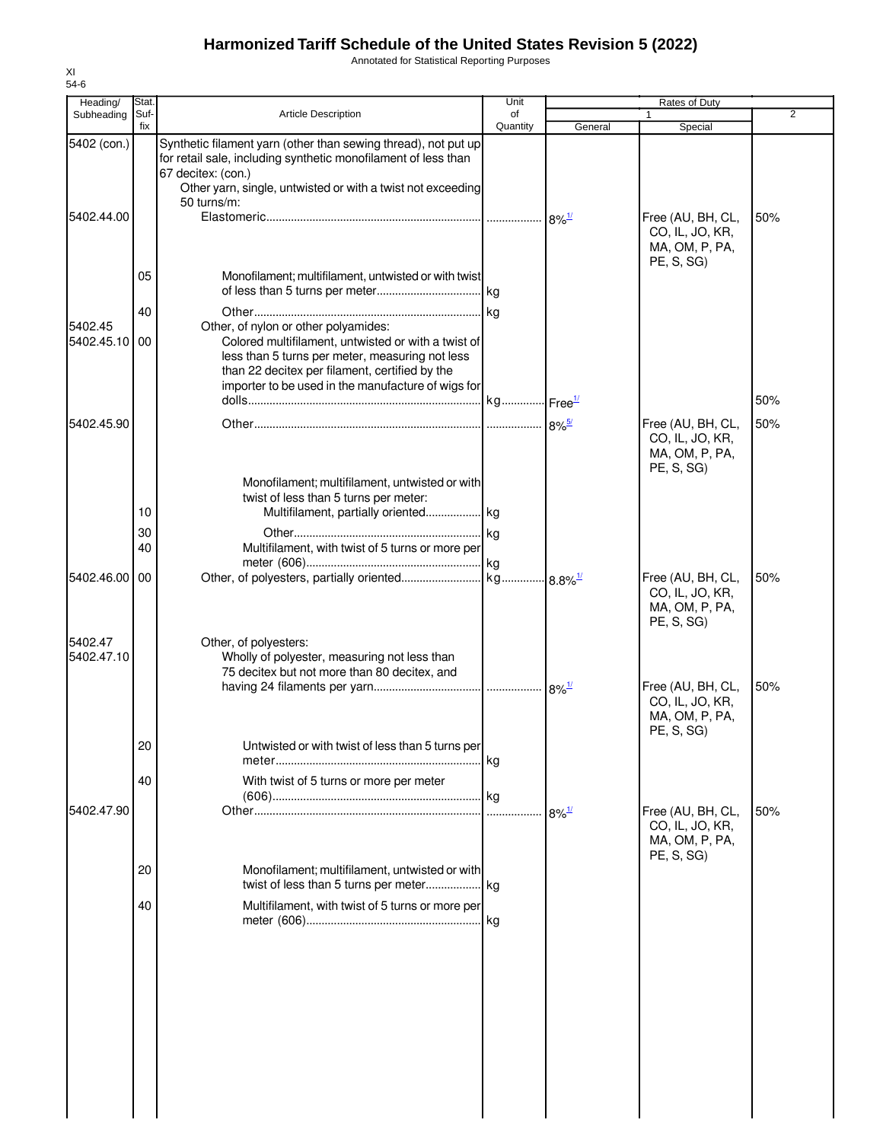Annotated for Statistical Reporting Purposes

| Heading/                 | Stat.       |                                                                                                                                                                                                                                                        | Unit           |                     | <b>Rates of Duty</b>                                                 |                |
|--------------------------|-------------|--------------------------------------------------------------------------------------------------------------------------------------------------------------------------------------------------------------------------------------------------------|----------------|---------------------|----------------------------------------------------------------------|----------------|
| Subheading               | Suf-<br>fix | Article Description                                                                                                                                                                                                                                    | of<br>Quantity | General             | 1.<br>Special                                                        | $\overline{2}$ |
| 5402 (con.)              |             | Synthetic filament yarn (other than sewing thread), not put up<br>for retail sale, including synthetic monofilament of less than<br>67 decitex: (con.)<br>Other yarn, single, untwisted or with a twist not exceeding<br>50 turns/m:                   |                |                     |                                                                      |                |
| 5402.44.00               |             |                                                                                                                                                                                                                                                        |                | $8\%$ <sup>1/</sup> | Free (AU, BH, CL,<br>CO, IL, JO, KR,<br>MA, OM, P, PA,<br>PE, S, SG  | 50%            |
|                          | 05          | Monofilament; multifilament, untwisted or with twist                                                                                                                                                                                                   |                |                     |                                                                      |                |
| 5402.45<br>5402.45.10 00 | 40          | Other, of nylon or other polyamides:<br>Colored multifilament, untwisted or with a twist of<br>less than 5 turns per meter, measuring not less<br>than 22 decitex per filament, certified by the<br>importer to be used in the manufacture of wigs for |                |                     |                                                                      |                |
|                          |             |                                                                                                                                                                                                                                                        |                |                     |                                                                      | 50%            |
| 5402.45.90               |             |                                                                                                                                                                                                                                                        |                |                     | Free (AU, BH, CL,<br>CO, IL, JO, KR,<br>MA, OM, P, PA,<br>PE, S, SG) | 50%            |
|                          | 10          | Monofilament; multifilament, untwisted or with<br>twist of less than 5 turns per meter:<br>Multifilament, partially oriented kg                                                                                                                        |                |                     |                                                                      |                |
|                          | 30<br>40    | Multifilament, with twist of 5 turns or more per                                                                                                                                                                                                       |                |                     |                                                                      |                |
| 5402.46.00               | 00          |                                                                                                                                                                                                                                                        |                |                     | Free (AU, BH, CL,<br>CO, IL, JO, KR,<br>MA, OM, P, PA,<br>PE, S, SG) | 50%            |
| 5402.47<br>5402.47.10    |             | Other, of polyesters:<br>Wholly of polyester, measuring not less than<br>75 decitex but not more than 80 decitex, and                                                                                                                                  |                |                     | Free (AU, BH, CL,                                                    | 50%            |
|                          |             |                                                                                                                                                                                                                                                        |                |                     | CO, IL, JO, KR,<br>MA, OM, P, PA,<br>PE, S, SG)                      |                |
|                          | 20<br>40    | Untwisted or with twist of less than 5 turns per<br>With twist of 5 turns or more per meter                                                                                                                                                            | kg             |                     |                                                                      |                |
| 5402.47.90               |             |                                                                                                                                                                                                                                                        | l kg<br>.      | $8\%$ <sup>1/</sup> | Free (AU, BH, CL,<br>CO, IL, JO, KR,<br>MA, OM, P, PA,               | 50%            |
|                          | 20          | Monofilament: multifilament, untwisted or with                                                                                                                                                                                                         |                |                     | PE, S, SG)                                                           |                |
|                          | 40          | Multifilament, with twist of 5 turns or more per                                                                                                                                                                                                       | kg             |                     |                                                                      |                |
|                          |             |                                                                                                                                                                                                                                                        |                |                     |                                                                      |                |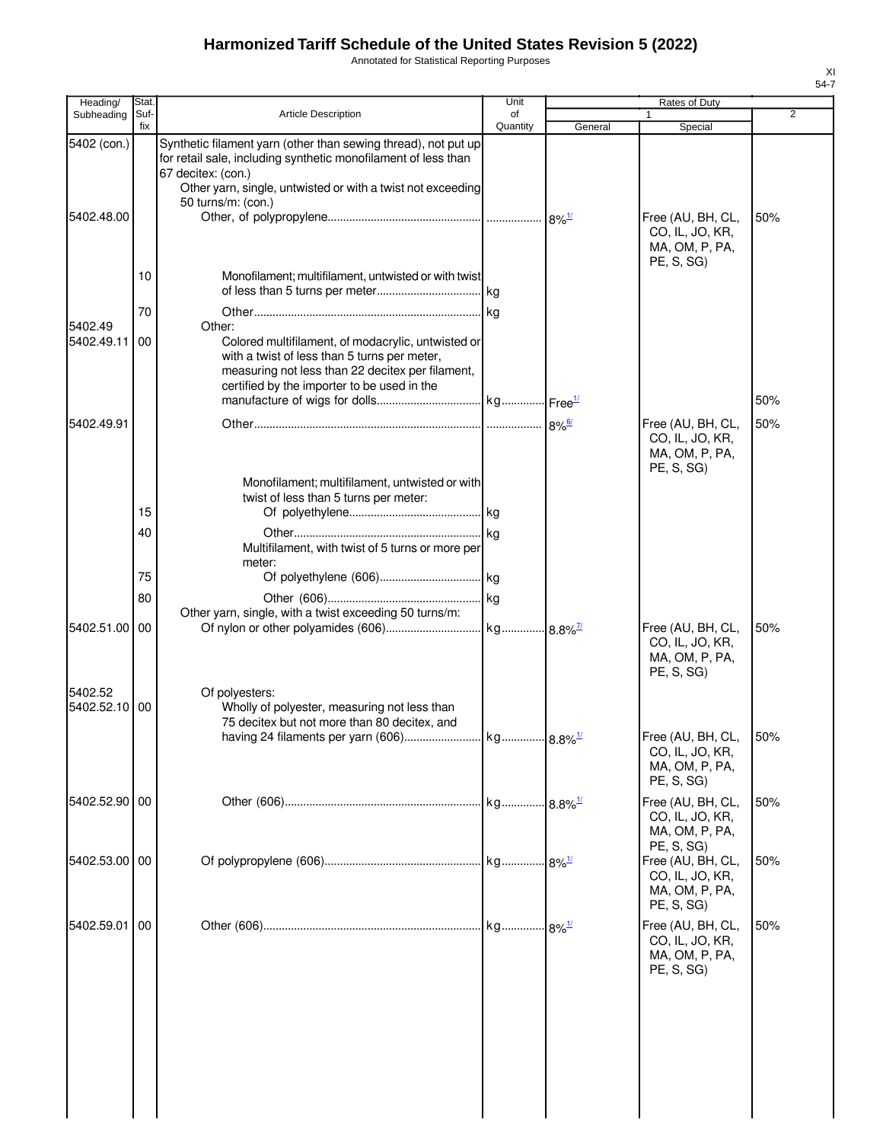Annotated for Statistical Reporting Purposes

| Heading/                 | <b>Stat</b> |                                                                                                                                                                                                                 | Unit           |         | Rates of Duty                                                                      |     |
|--------------------------|-------------|-----------------------------------------------------------------------------------------------------------------------------------------------------------------------------------------------------------------|----------------|---------|------------------------------------------------------------------------------------|-----|
| Subheading               | Suf-<br>fix | <b>Article Description</b>                                                                                                                                                                                      | of<br>Quantity | General | 1<br>Special                                                                       | 2   |
| 5402 (con.)              |             | Synthetic filament yarn (other than sewing thread), not put up<br>for retail sale, including synthetic monofilament of less than<br>67 decitex: (con.)                                                          |                |         |                                                                                    |     |
| 5402.48.00               |             | Other yarn, single, untwisted or with a twist not exceeding<br>50 turns/m: (con.)                                                                                                                               |                |         | Free (AU, BH, CL,                                                                  | 50% |
|                          |             |                                                                                                                                                                                                                 |                |         | CO, IL, JO, KR,<br>MA, OM, P, PA,<br>PE, S, SG)                                    |     |
|                          | 10          | Monofilament; multifilament, untwisted or with twist                                                                                                                                                            |                |         |                                                                                    |     |
|                          | 70          |                                                                                                                                                                                                                 |                |         |                                                                                    |     |
| 5402.49<br>5402.49.11    | 00          | Other:<br>Colored multifilament, of modacrylic, untwisted or<br>with a twist of less than 5 turns per meter,<br>measuring not less than 22 decitex per filament,<br>certified by the importer to be used in the |                |         |                                                                                    |     |
|                          |             |                                                                                                                                                                                                                 |                |         |                                                                                    | 50% |
| 5402.49.91               |             |                                                                                                                                                                                                                 |                |         | Free (AU, BH, CL,<br>CO, IL, JO, KR,<br>MA, OM, P, PA,<br>PE, S, SG)               | 50% |
|                          | 15          | Monofilament; multifilament, untwisted or with<br>twist of less than 5 turns per meter:                                                                                                                         |                |         |                                                                                    |     |
|                          | 40          |                                                                                                                                                                                                                 |                |         |                                                                                    |     |
|                          |             | Multifilament, with twist of 5 turns or more per<br>meter:                                                                                                                                                      |                |         |                                                                                    |     |
|                          | 75          |                                                                                                                                                                                                                 |                |         |                                                                                    |     |
|                          | 80          |                                                                                                                                                                                                                 |                |         |                                                                                    |     |
| 5402.51.00               | 00          | Other yarn, single, with a twist exceeding 50 turns/m:                                                                                                                                                          |                |         | Free (AU, BH, CL,<br>CO, IL, JO, KR,<br>MA, OM, P, PA,<br>PE, S, SG)               | 50% |
| 5402.52<br>5402.52.10 00 |             | Of polyesters:<br>Wholly of polyester, measuring not less than<br>75 decitex but not more than 80 decitex, and                                                                                                  |                |         |                                                                                    |     |
|                          |             |                                                                                                                                                                                                                 |                |         | Free (AU, BH, CL,<br>CO, IL, JO, KR,<br>MA, OM, P, PA,<br>PE, S, SG)               | 50% |
| 5402.52.90 00            |             |                                                                                                                                                                                                                 |                |         | Free (AU, BH, CL,<br>CO, IL, JO, KR,<br>MA, OM, P, PA,                             | 50% |
| 5402.53.00 00            |             |                                                                                                                                                                                                                 |                |         | PE, S, SG)<br>Free (AU, BH, CL,<br>CO, IL, JO, KR,<br>MA, OM, P, PA,<br>PE, S, SG) | 50% |
| 5402.59.01               | 00          |                                                                                                                                                                                                                 |                |         | Free (AU, BH, CL,<br>CO, IL, JO, KR,<br>MA, OM, P, PA,<br>PE, S, SG)               | 50% |
|                          |             |                                                                                                                                                                                                                 |                |         |                                                                                    |     |
|                          |             |                                                                                                                                                                                                                 |                |         |                                                                                    |     |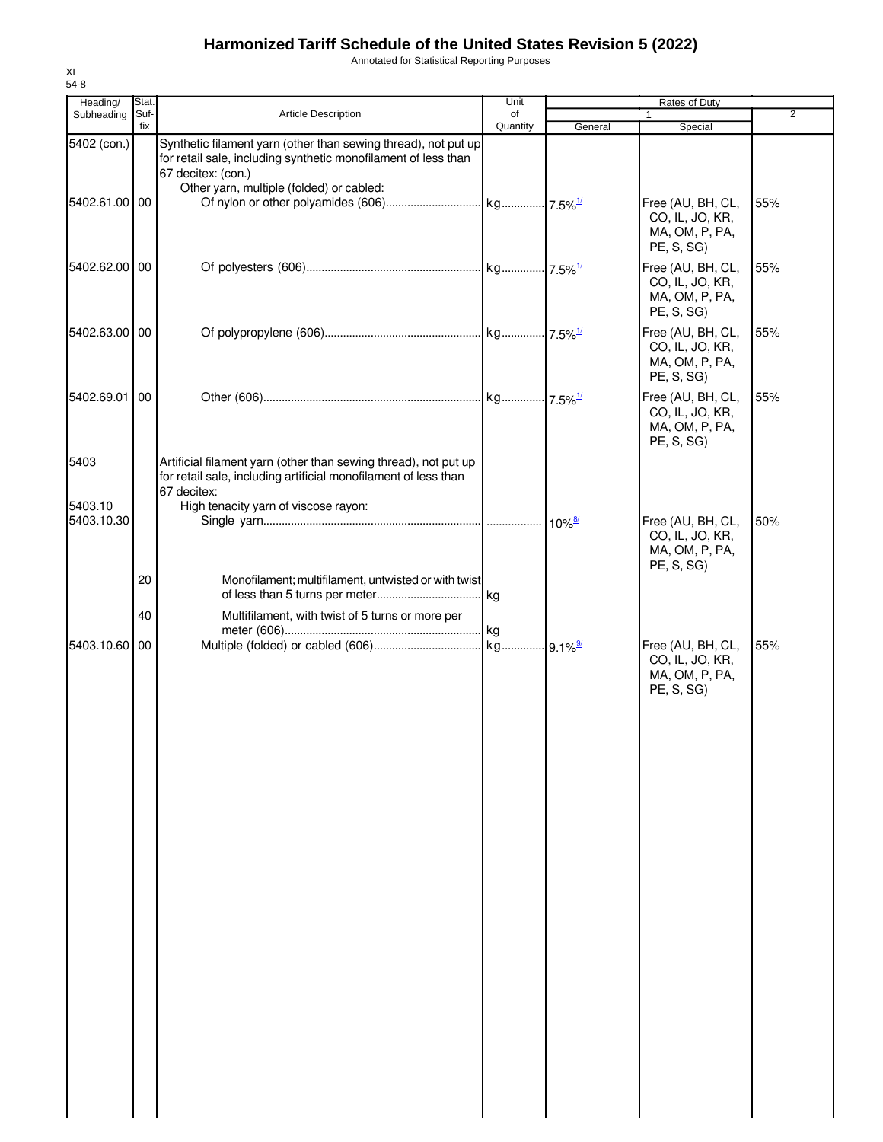Annotated for Statistical Reporting Purposes

| Heading/              | Stat.       |                                                                                                                                                        | Unit           |         | Rates of Duty                                                        |                |
|-----------------------|-------------|--------------------------------------------------------------------------------------------------------------------------------------------------------|----------------|---------|----------------------------------------------------------------------|----------------|
| Subheading            | Suf-<br>fix | Article Description                                                                                                                                    | of<br>Quantity | General | $\mathbf{1}$<br>Special                                              | $\overline{2}$ |
| 5402 (con.)           |             | Synthetic filament yarn (other than sewing thread), not put up<br>for retail sale, including synthetic monofilament of less than<br>67 decitex: (con.) |                |         |                                                                      |                |
| 5402.61.00 00         |             | Other yarn, multiple (folded) or cabled:                                                                                                               |                |         | Free (AU, BH, CL,<br>CO, IL, JO, KR,<br>MA, OM, P, PA,<br>PE, S, SG) | 55%            |
| 5402.62.00 00         |             |                                                                                                                                                        |                |         | Free (AU, BH, CL,<br>CO, IL, JO, KR,<br>MA, OM, P, PA,<br>PE, S, SG) | 55%            |
| 5402.63.00 00         |             |                                                                                                                                                        |                |         | Free (AU, BH, CL,<br>CO, IL, JO, KR,<br>MA, OM, P, PA,<br>PE, S, SG) | 55%            |
| 5402.69.01            | 00          |                                                                                                                                                        |                |         | Free (AU, BH, CL,<br>CO, IL, JO, KR,<br>MA, OM, P, PA,<br>PE, S, SG) | 55%            |
| 5403                  |             | Artificial filament yarn (other than sewing thread), not put up<br>for retail sale, including artificial monofilament of less than<br>67 decitex:      |                |         |                                                                      |                |
| 5403.10<br>5403.10.30 |             | High tenacity yarn of viscose rayon:                                                                                                                   |                |         | Free (AU, BH, CL,<br>CO, IL, JO, KR,<br>MA, OM, P, PA,<br>PE, S, SG) | 50%            |
|                       | 20          | Monofilament; multifilament, untwisted or with twist                                                                                                   |                |         |                                                                      |                |
|                       | 40          | Multifilament, with twist of 5 turns or more per                                                                                                       |                |         |                                                                      |                |
| 5403.10.60 00         |             |                                                                                                                                                        |                |         | Free (AU, BH, CL,<br>CO, IL, JO, KR,<br>MA, OM, P, PA,<br>PE, S, SG) | 55%            |
|                       |             |                                                                                                                                                        |                |         |                                                                      |                |
|                       |             |                                                                                                                                                        |                |         |                                                                      |                |
|                       |             |                                                                                                                                                        |                |         |                                                                      |                |
|                       |             |                                                                                                                                                        |                |         |                                                                      |                |
|                       |             |                                                                                                                                                        |                |         |                                                                      |                |
|                       |             |                                                                                                                                                        |                |         |                                                                      |                |
|                       |             |                                                                                                                                                        |                |         |                                                                      |                |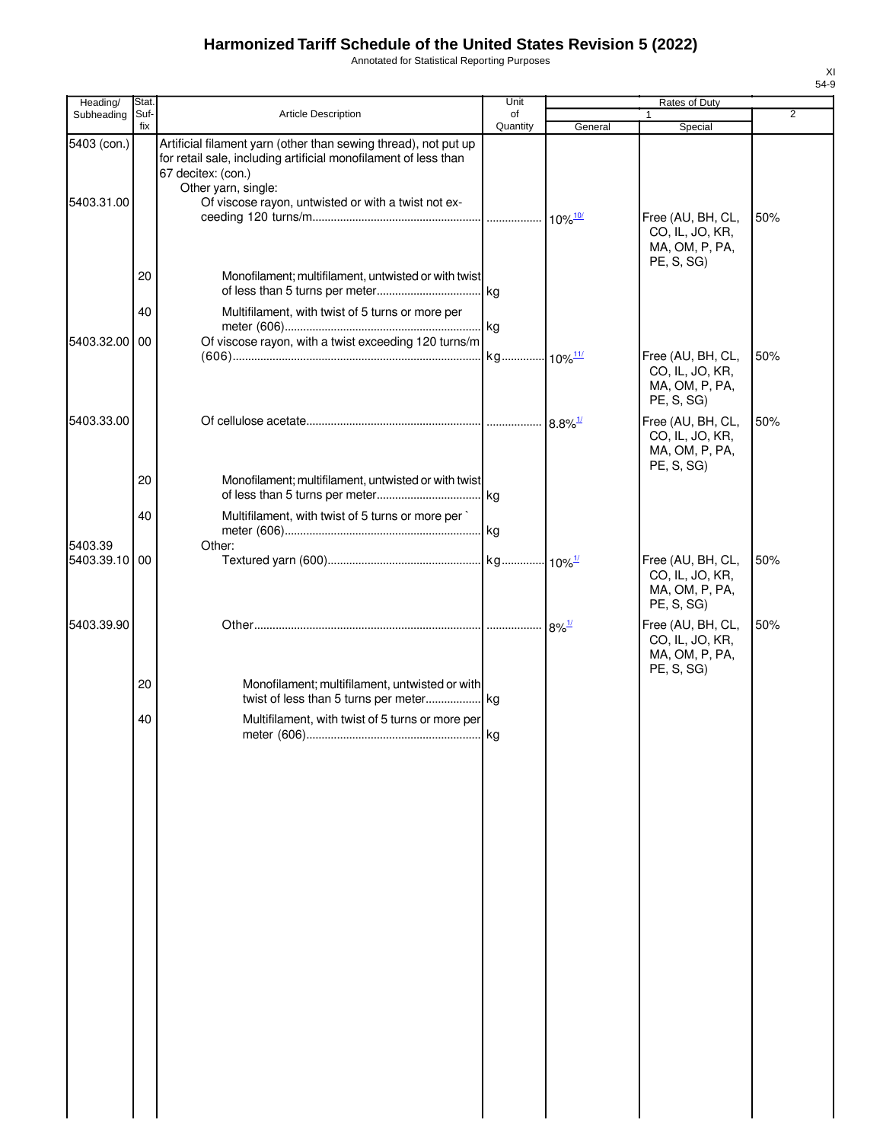Annotated for Statistical Reporting Purposes

| Heading/                  | Stat.       |                                                                                                                                                                                                                                        | Unit                  |                       | Rates of Duty                                                        |                |
|---------------------------|-------------|----------------------------------------------------------------------------------------------------------------------------------------------------------------------------------------------------------------------------------------|-----------------------|-----------------------|----------------------------------------------------------------------|----------------|
| Subheading                | Suf-<br>fix | Article Description                                                                                                                                                                                                                    | of<br>Quantity        | General               | Special                                                              | $\overline{2}$ |
| 5403 (con.)<br>5403.31.00 |             | Artificial filament yarn (other than sewing thread), not put up<br>for retail sale, including artificial monofilament of less than<br>67 decitex: (con.)<br>Other yarn, single:<br>Of viscose rayon, untwisted or with a twist not ex- |                       |                       | Free (AU, BH, CL,<br>CO, IL, JO, KR,                                 | 50%            |
|                           |             |                                                                                                                                                                                                                                        |                       |                       | MA, OM, P, PA,<br>PE, S, SG)                                         |                |
|                           | 20          | Monofilament; multifilament, untwisted or with twist                                                                                                                                                                                   |                       |                       |                                                                      |                |
|                           | 40          | Multifilament, with twist of 5 turns or more per                                                                                                                                                                                       |                       |                       |                                                                      |                |
| 5403.32.00 00             |             | Of viscose rayon, with a twist exceeding 120 turns/m                                                                                                                                                                                   |                       |                       |                                                                      |                |
|                           |             |                                                                                                                                                                                                                                        | kg 10% <sup>11/</sup> |                       | Free (AU, BH, CL,<br>CO, IL, JO, KR,<br>MA, OM, P, PA,<br>PE, S, SG) | 50%            |
| 5403.33.00                |             |                                                                                                                                                                                                                                        |                       | $8.8\%$ <sup>1/</sup> | Free (AU, BH, CL,<br>CO, IL, JO, KR,<br>MA, OM, P, PA,<br>PE, S, SG) | 50%            |
|                           | 20          | Monofilament; multifilament, untwisted or with twist                                                                                                                                                                                   |                       |                       |                                                                      |                |
|                           | 40          | Multifilament, with twist of 5 turns or more per                                                                                                                                                                                       |                       |                       |                                                                      |                |
| 5403.39                   |             | Other:                                                                                                                                                                                                                                 |                       |                       |                                                                      |                |
| 5403.39.10 00             |             |                                                                                                                                                                                                                                        |                       |                       | Free (AU, BH, CL,<br>CO, IL, JO, KR,<br>MA, OM, P, PA,<br>PE, S, SG) | 50%            |
| 5403.39.90                |             |                                                                                                                                                                                                                                        |                       | $8\%$ <sup>1/</sup>   | Free (AU, BH, CL,<br>CO, IL, JO, KR,<br>MA, OM, P, PA,               | 50%            |
|                           | 20          | Monofilament; multifilament, untwisted or with                                                                                                                                                                                         |                       |                       | PE, S, SG)                                                           |                |
|                           | 40          | Multifilament, with twist of 5 turns or more per                                                                                                                                                                                       |                       |                       |                                                                      |                |
|                           |             |                                                                                                                                                                                                                                        |                       |                       |                                                                      |                |
|                           |             |                                                                                                                                                                                                                                        |                       |                       |                                                                      |                |
|                           |             |                                                                                                                                                                                                                                        |                       |                       |                                                                      |                |
|                           |             |                                                                                                                                                                                                                                        |                       |                       |                                                                      |                |
|                           |             |                                                                                                                                                                                                                                        |                       |                       |                                                                      |                |
|                           |             |                                                                                                                                                                                                                                        |                       |                       |                                                                      |                |
|                           |             |                                                                                                                                                                                                                                        |                       |                       |                                                                      |                |
|                           |             |                                                                                                                                                                                                                                        |                       |                       |                                                                      |                |
|                           |             |                                                                                                                                                                                                                                        |                       |                       |                                                                      |                |
|                           |             |                                                                                                                                                                                                                                        |                       |                       |                                                                      |                |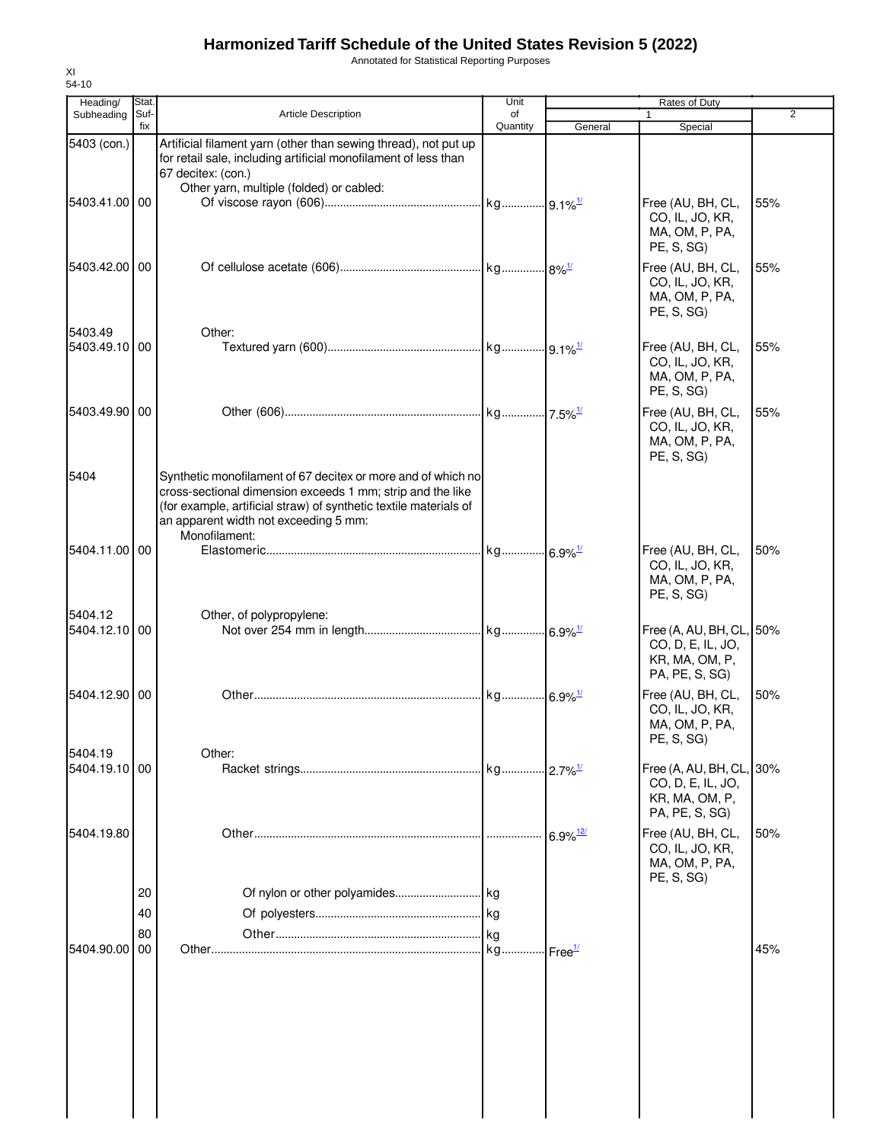Annotated for Statistical Reporting Purposes

| Heading/<br>Subheading   | Stat.<br>Suf- | <b>Article Description</b>                                                                                                                                                                                                                                | Unit<br>of |                        | Rates of Duty                                                                     | 2   |
|--------------------------|---------------|-----------------------------------------------------------------------------------------------------------------------------------------------------------------------------------------------------------------------------------------------------------|------------|------------------------|-----------------------------------------------------------------------------------|-----|
|                          | fix           |                                                                                                                                                                                                                                                           | Quantity   | General                | Special                                                                           |     |
| 5403 (con.)              |               | Artificial filament yarn (other than sewing thread), not put up<br>for retail sale, including artificial monofilament of less than<br>67 decitex: (con.)<br>Other yarn, multiple (folded) or cabled:                                                      |            |                        |                                                                                   |     |
| 5403.41.00 00            |               |                                                                                                                                                                                                                                                           |            |                        | Free (AU, BH, CL,<br>CO, IL, JO, KR,<br>MA, OM, P, PA,<br>PE, S, SG)              | 55% |
| 5403.42.00 00            |               |                                                                                                                                                                                                                                                           |            |                        | Free (AU, BH, CL,<br>CO, IL, JO, KR,<br>MA, OM, P, PA,<br>PE, S, SG)              | 55% |
| 5403.49<br>5403.49.10 00 |               | Other:                                                                                                                                                                                                                                                    |            |                        | Free (AU, BH, CL,<br>CO, IL, JO, KR,<br>MA, OM, P, PA,<br>PE, S, SG)              | 55% |
| 5403.49.90 00            |               |                                                                                                                                                                                                                                                           |            |                        | Free (AU, BH, CL,<br>CO, IL, JO, KR,<br>MA, OM, P, PA,<br>PE, S, SG)              | 55% |
| 5404                     |               | Synthetic monofilament of 67 decitex or more and of which no<br>cross-sectional dimension exceeds 1 mm; strip and the like<br>(for example, artificial straw) of synthetic textile materials of<br>an apparent width not exceeding 5 mm:<br>Monofilament: |            |                        |                                                                                   |     |
| 5404.11.00 00<br>5404.12 |               |                                                                                                                                                                                                                                                           |            |                        | Free (AU, BH, CL,<br>CO, IL, JO, KR,<br>MA, OM, P, PA,<br>PE, S, SG)              | 50% |
| 5404.12.10 00            |               | Other, of polypropylene:                                                                                                                                                                                                                                  |            |                        | Free (A, AU, BH, CL, 50%<br>CO, D, E, IL, JO,<br>KR, MA, OM, P,<br>PA, PE, S, SG) |     |
| 5404.12.90 00            |               |                                                                                                                                                                                                                                                           |            |                        | Free (AU, BH, CL,<br>CO, IL, JO, KR,<br>MA, OM, P, PA,<br>PE, S, SG)              | 50% |
| 5404.19<br>5404.19.10 00 |               | Other:                                                                                                                                                                                                                                                    |            |                        | Free (A, AU, BH, CL, 30%<br>CO, D, E, IL, JO,<br>KR, MA, OM, P,<br>PA, PE, S, SG) |     |
| 5404.19.80               |               |                                                                                                                                                                                                                                                           |            | $6.9\%$ <sup>12/</sup> | Free (AU, BH, CL,<br>CO, IL, JO, KR,<br>MA, OM, P, PA,<br>PE, S, SG)              | 50% |
|                          | 20<br>40      |                                                                                                                                                                                                                                                           |            |                        |                                                                                   |     |
|                          | 80            |                                                                                                                                                                                                                                                           |            |                        |                                                                                   |     |
| 5404.90.00               | 00            |                                                                                                                                                                                                                                                           |            |                        |                                                                                   | 45% |
|                          |               |                                                                                                                                                                                                                                                           |            |                        |                                                                                   |     |

XI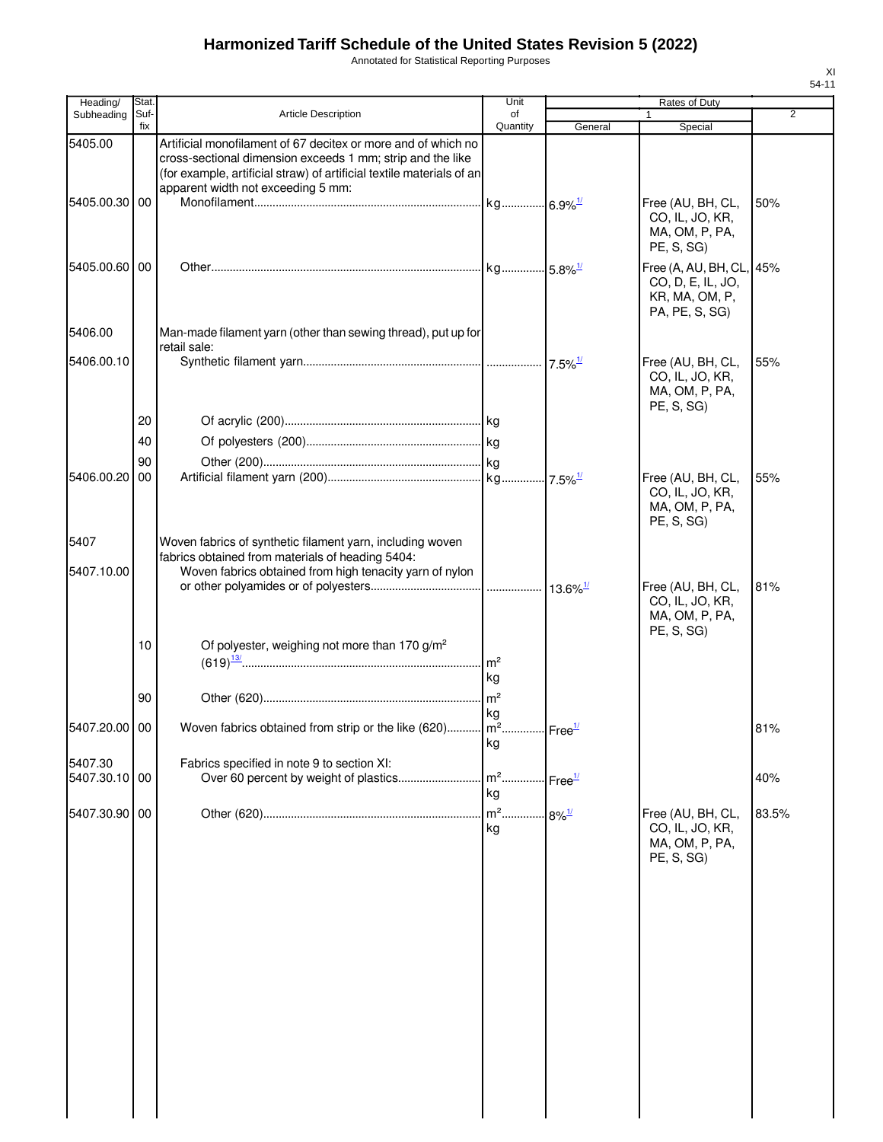Annotated for Statistical Reporting Purposes

| Heading/                 | Stat.       |                                                                                                                                                                                                                                            | Unit                 |                     | Rates of Duty                                                                     |                |
|--------------------------|-------------|--------------------------------------------------------------------------------------------------------------------------------------------------------------------------------------------------------------------------------------------|----------------------|---------------------|-----------------------------------------------------------------------------------|----------------|
| Subheading               | Suf-<br>fix | <b>Article Description</b>                                                                                                                                                                                                                 | of<br>Quantity       | General             | 1<br>Special                                                                      | $\overline{2}$ |
| 5405.00                  |             | Artificial monofilament of 67 decitex or more and of which no<br>cross-sectional dimension exceeds 1 mm; strip and the like<br>(for example, artificial straw) of artificial textile materials of an<br>apparent width not exceeding 5 mm: |                      |                     |                                                                                   |                |
| 5405.00.30               | 00          |                                                                                                                                                                                                                                            |                      |                     | Free (AU, BH, CL,<br>CO, IL, JO, KR,<br>MA, OM, P, PA,<br>PE, S, SG)              | 50%            |
| 5405.00.60 00            |             |                                                                                                                                                                                                                                            |                      |                     | Free (A, AU, BH, CL, 45%<br>CO, D, E, IL, JO,<br>KR, MA, OM, P,<br>PA, PE, S, SG) |                |
| 5406.00                  |             | Man-made filament yarn (other than sewing thread), put up for<br>retail sale:                                                                                                                                                              |                      |                     |                                                                                   |                |
| 5406.00.10               |             |                                                                                                                                                                                                                                            |                      |                     | Free (AU, BH, CL,<br>CO, IL, JO, KR,<br>MA, OM, P, PA,<br>PE, S, SG)              | 55%            |
|                          | 20          |                                                                                                                                                                                                                                            |                      |                     |                                                                                   |                |
|                          | 40          |                                                                                                                                                                                                                                            |                      |                     |                                                                                   |                |
|                          | 90          |                                                                                                                                                                                                                                            |                      |                     |                                                                                   |                |
| 5406.00.20               | 00          |                                                                                                                                                                                                                                            |                      |                     | Free (AU, BH, CL,<br>CO, IL, JO, KR,<br>MA, OM, P, PA,<br>PE, S, SG)              | 55%            |
| 5407                     |             | Woven fabrics of synthetic filament yarn, including woven<br>fabrics obtained from materials of heading 5404:                                                                                                                              |                      |                     |                                                                                   |                |
| 5407.10.00               |             | Woven fabrics obtained from high tenacity yarn of nylon                                                                                                                                                                                    |                      |                     | Free (AU, BH, CL,<br>CO, IL, JO, KR,<br>MA, OM, P, PA,                            | 81%            |
|                          | 10          | Of polyester, weighing not more than 170 g/m <sup>2</sup>                                                                                                                                                                                  | m <sup>2</sup><br>kg |                     | PE, S, SG)                                                                        |                |
|                          | 90          |                                                                                                                                                                                                                                            | kg                   |                     |                                                                                   |                |
| 5407.20.00 00            |             | Woven fabrics obtained from strip or the like (620)   m <sup>2</sup>   Free <sup>1/</sup>                                                                                                                                                  | kg                   |                     |                                                                                   | 81%            |
| 5407.30<br>5407.30.10 00 |             | Fabrics specified in note 9 to section XI:                                                                                                                                                                                                 | $m2$<br>kg           | Free <sup>1/</sup>  |                                                                                   | 40%            |
| 5407.30.90 00            |             |                                                                                                                                                                                                                                            | kg                   | $8\%$ <sup>1/</sup> | Free (AU, BH, CL,<br>CO, IL, JO, KR,<br>MA, OM, P, PA,<br>PE, S, SG)              | 83.5%          |
|                          |             |                                                                                                                                                                                                                                            |                      |                     |                                                                                   |                |
|                          |             |                                                                                                                                                                                                                                            |                      |                     |                                                                                   |                |
|                          |             |                                                                                                                                                                                                                                            |                      |                     |                                                                                   |                |
|                          |             |                                                                                                                                                                                                                                            |                      |                     |                                                                                   |                |
|                          |             |                                                                                                                                                                                                                                            |                      |                     |                                                                                   |                |

XI 54-11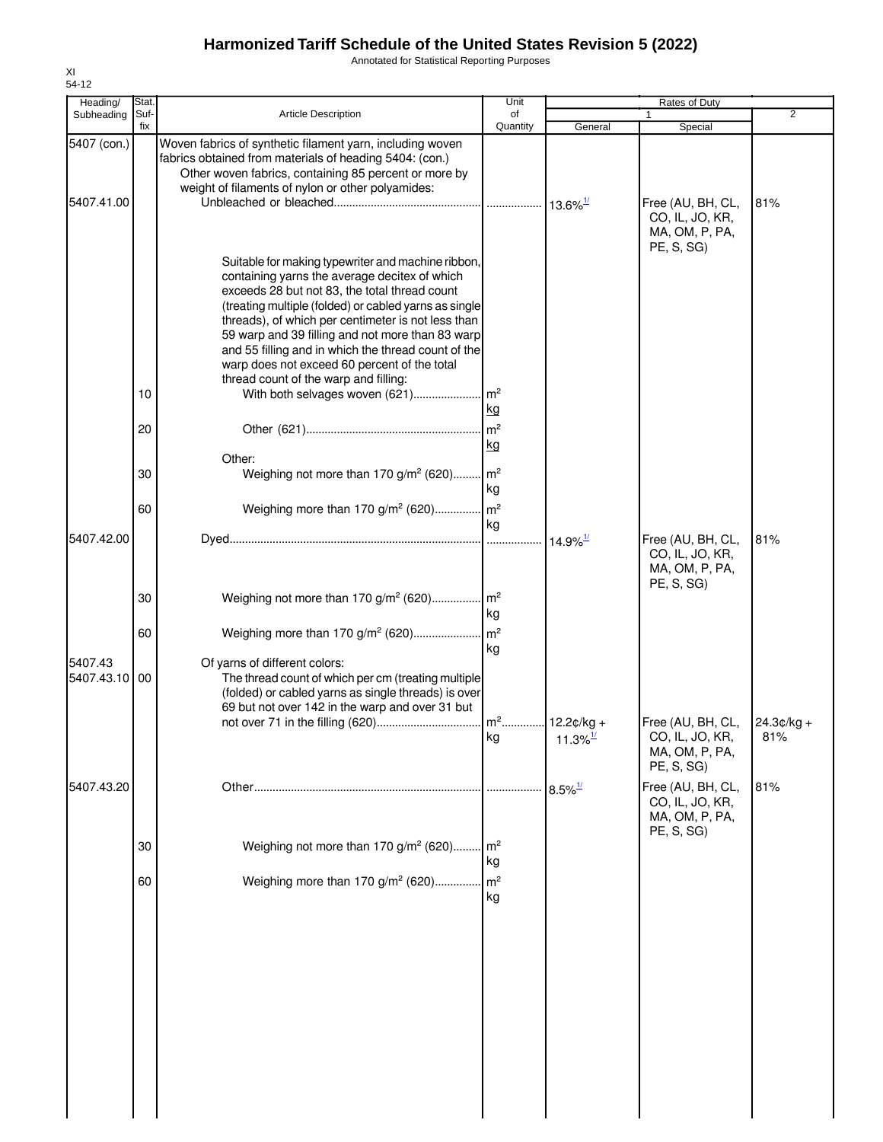Annotated for Statistical Reporting Purposes

| Heading/                  | Stat.       |                                                                                                                                                                                                                                                                                                                                                                                                                                                                                                           | Unit                       |                        | Rates of Duty                                                        |                     |
|---------------------------|-------------|-----------------------------------------------------------------------------------------------------------------------------------------------------------------------------------------------------------------------------------------------------------------------------------------------------------------------------------------------------------------------------------------------------------------------------------------------------------------------------------------------------------|----------------------------|------------------------|----------------------------------------------------------------------|---------------------|
| Subheading                | Suf-<br>fix | <b>Article Description</b>                                                                                                                                                                                                                                                                                                                                                                                                                                                                                | of<br>Quantity             | General                | Special                                                              | $\overline{2}$      |
| 5407 (con.)<br>5407.41.00 |             | Woven fabrics of synthetic filament yarn, including woven<br>fabrics obtained from materials of heading 5404: (con.)<br>Other woven fabrics, containing 85 percent or more by<br>weight of filaments of nylon or other polyamides:                                                                                                                                                                                                                                                                        |                            |                        | Free (AU, BH, CL,<br>CO, IL, JO, KR,<br>MA, OM, P, PA,               | 81%                 |
|                           | 10          | Suitable for making typewriter and machine ribbon,<br>containing yarns the average decitex of which<br>exceeds 28 but not 83, the total thread count<br>(treating multiple (folded) or cabled yarns as single<br>threads), of which per centimeter is not less than<br>59 warp and 39 filling and not more than 83 warp<br>and 55 filling and in which the thread count of the<br>warp does not exceed 60 percent of the total<br>thread count of the warp and filling:<br>With both selvages woven (621) | . $\mathsf{Im}^2$<br>kg    |                        | PE, S, SG)                                                           |                     |
|                           | 20<br>30    | Other:<br>Weighing not more than 170 g/m <sup>2</sup> (620) m <sup>2</sup>                                                                                                                                                                                                                                                                                                                                                                                                                                | kg<br>kg                   |                        |                                                                      |                     |
|                           | 60          | Weighing more than 170 g/m <sup>2</sup> (620)                                                                                                                                                                                                                                                                                                                                                                                                                                                             | $\mathsf{Im}^2$            |                        |                                                                      |                     |
| 5407.42.00                |             |                                                                                                                                                                                                                                                                                                                                                                                                                                                                                                           | kg                         | $14.9\%$ <sup>1/</sup> | Free (AU, BH, CL,<br>CO, IL, JO, KR,<br>MA, OM, P, PA,               | 81%                 |
|                           | 30          | Weighing not more than 170 g/m <sup>2</sup> (620) m <sup>2</sup>                                                                                                                                                                                                                                                                                                                                                                                                                                          | kg                         |                        | PE, S, SG)                                                           |                     |
|                           | 60          | Weighing more than 170 g/m <sup>2</sup> (620)                                                                                                                                                                                                                                                                                                                                                                                                                                                             | $\mathsf{Im}^2$            |                        |                                                                      |                     |
| 5407.43<br>5407.43.10     | 00          | Of yarns of different colors:<br>The thread count of which per cm (treating multiple<br>(folded) or cabled yarns as single threads) is over<br>69 but not over 142 in the warp and over 31 but                                                                                                                                                                                                                                                                                                            | kg<br>kg                   | $11.3\%$ <sup>1/</sup> | Free (AU, BH, CL,<br>CO, IL, JO, KR,<br>MA, OM, P, PA,               | $24.3¢/kg +$<br>81% |
|                           |             |                                                                                                                                                                                                                                                                                                                                                                                                                                                                                                           |                            |                        | PE, S, SG)                                                           |                     |
| 5407.43.20                | 30          | Weighing not more than 170 g/m <sup>2</sup> (620)                                                                                                                                                                                                                                                                                                                                                                                                                                                         | m <sup>2</sup>             | $8.5\%$ <sup>1/</sup>  | Free (AU, BH, CL,<br>CO, IL, JO, KR,<br>MA, OM, P, PA,<br>PE, S, SG) | 81%                 |
|                           | 60          | Weighing more than 170 g/m <sup>2</sup> (620)                                                                                                                                                                                                                                                                                                                                                                                                                                                             | kg<br>m <sup>2</sup><br>kg |                        |                                                                      |                     |
|                           |             |                                                                                                                                                                                                                                                                                                                                                                                                                                                                                                           |                            |                        |                                                                      |                     |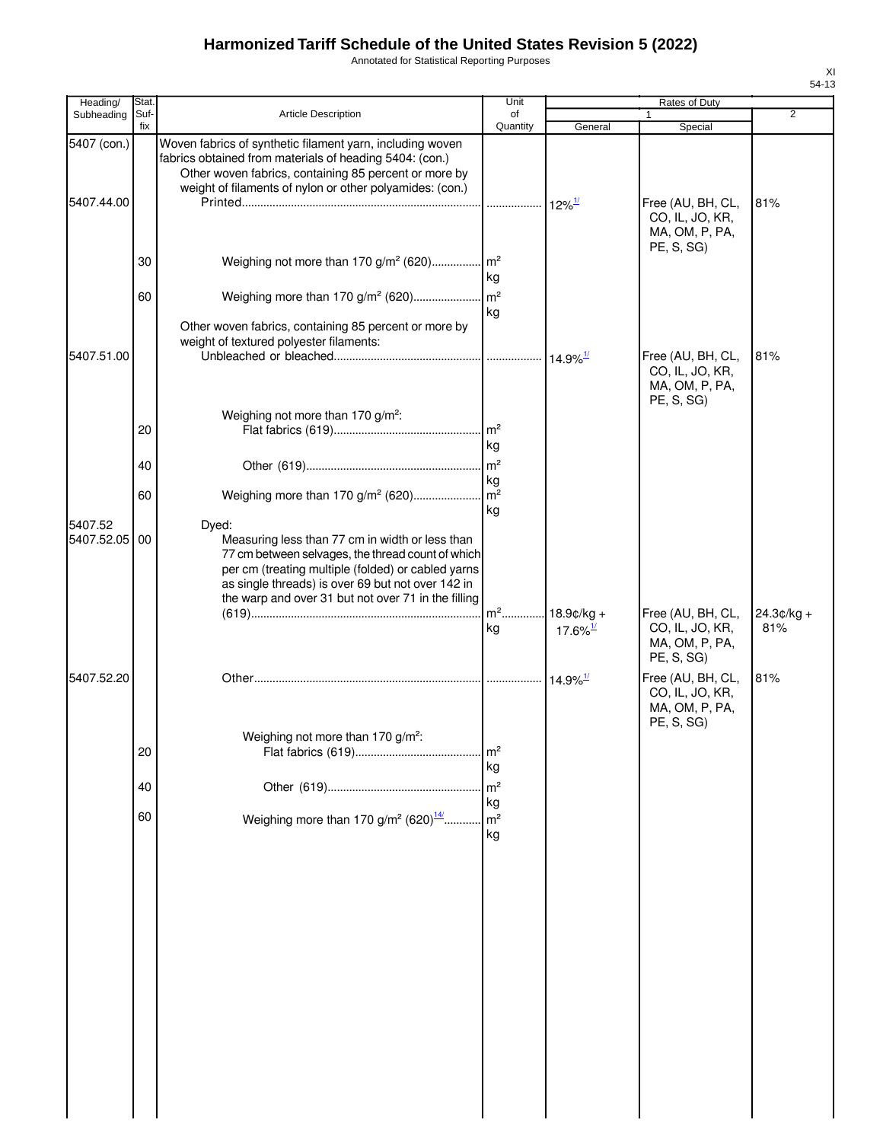Annotated for Statistical Reporting Purposes

| Heading/      | Stat.       |                                                                                                                                                                                                                                                                        | Unit                            |                        | Rates of Duty                                                        |                     |
|---------------|-------------|------------------------------------------------------------------------------------------------------------------------------------------------------------------------------------------------------------------------------------------------------------------------|---------------------------------|------------------------|----------------------------------------------------------------------|---------------------|
| Subheading    | Suf-<br>fix | <b>Article Description</b>                                                                                                                                                                                                                                             | of<br>Quantity                  | General                | Special                                                              | $\overline{2}$      |
| 5407 (con.)   |             | Woven fabrics of synthetic filament yarn, including woven<br>fabrics obtained from materials of heading 5404: (con.)<br>Other woven fabrics, containing 85 percent or more by<br>weight of filaments of nylon or other polyamides: (con.)                              |                                 |                        |                                                                      |                     |
| 5407.44.00    | 30          | Weighing not more than 170 g/m <sup>2</sup> (620) m <sup>2</sup>                                                                                                                                                                                                       |                                 | $12\%$ <sup>1/</sup>   | Free (AU, BH, CL,<br>CO, IL, JO, KR,<br>MA, OM, P, PA,<br>PE, S, SG) | 81%                 |
|               | 60          | Weighing more than 170 g/m <sup>2</sup> (620)                                                                                                                                                                                                                          | kg<br>$\mathsf{Im}^2$           |                        |                                                                      |                     |
|               |             | Other woven fabrics, containing 85 percent or more by<br>weight of textured polyester filaments:                                                                                                                                                                       | kg                              |                        |                                                                      |                     |
| 5407.51.00    |             |                                                                                                                                                                                                                                                                        |                                 | $14.9\%$ <sup>1/</sup> | Free (AU, BH, CL,<br>CO, IL, JO, KR,<br>MA, OM, P, PA,<br>PE, S, SG) | 81%                 |
|               | 20          | Weighing not more than 170 g/m <sup>2</sup> :                                                                                                                                                                                                                          | m <sup>2</sup><br>kg            |                        |                                                                      |                     |
|               | 40          |                                                                                                                                                                                                                                                                        | m <sup>2</sup><br>kg            |                        |                                                                      |                     |
| 5407.52       | 60          | Weighing more than 170 g/m <sup>2</sup> (620)<br>Dyed:                                                                                                                                                                                                                 | m <sup>2</sup><br>kg            |                        |                                                                      |                     |
| 5407.52.05 00 |             | Measuring less than 77 cm in width or less than<br>77 cm between selvages, the thread count of which<br>per cm (treating multiple (folded) or cabled yarns<br>as single threads) is over 69 but not over 142 in<br>the warp and over 31 but not over 71 in the filling |                                 |                        |                                                                      |                     |
|               |             |                                                                                                                                                                                                                                                                        | m <sup>2</sup> 18.9¢/kg +<br>kg | $17.6\%$ <sup>1/</sup> | Free (AU, BH, CL,<br>CO, IL, JO, KR,<br>MA, OM, P, PA,<br>PE, S, SG) | $24.3¢/kg +$<br>81% |
| 5407.52.20    |             |                                                                                                                                                                                                                                                                        |                                 | $14.9\%$ <sup>1/</sup> | Free (AU, BH, CL,<br>CO, IL, JO, KR,<br>MA, OM, P, PA,<br>PE, S, SG) | 81%                 |
|               | 20          | Weighing not more than 170 g/m <sup>2</sup> :                                                                                                                                                                                                                          | m <sup>2</sup><br>kg            |                        |                                                                      |                     |
|               | 40          |                                                                                                                                                                                                                                                                        | m <sup>2</sup><br>kg            |                        |                                                                      |                     |
|               | 60          | Weighing more than 170 $g/m^2$ (620) $\frac{14}{1}$                                                                                                                                                                                                                    | m <sup>2</sup><br>kg            |                        |                                                                      |                     |
|               |             |                                                                                                                                                                                                                                                                        |                                 |                        |                                                                      |                     |
|               |             |                                                                                                                                                                                                                                                                        |                                 |                        |                                                                      |                     |
|               |             |                                                                                                                                                                                                                                                                        |                                 |                        |                                                                      |                     |
|               |             |                                                                                                                                                                                                                                                                        |                                 |                        |                                                                      |                     |
|               |             |                                                                                                                                                                                                                                                                        |                                 |                        |                                                                      |                     |
|               |             |                                                                                                                                                                                                                                                                        |                                 |                        |                                                                      |                     |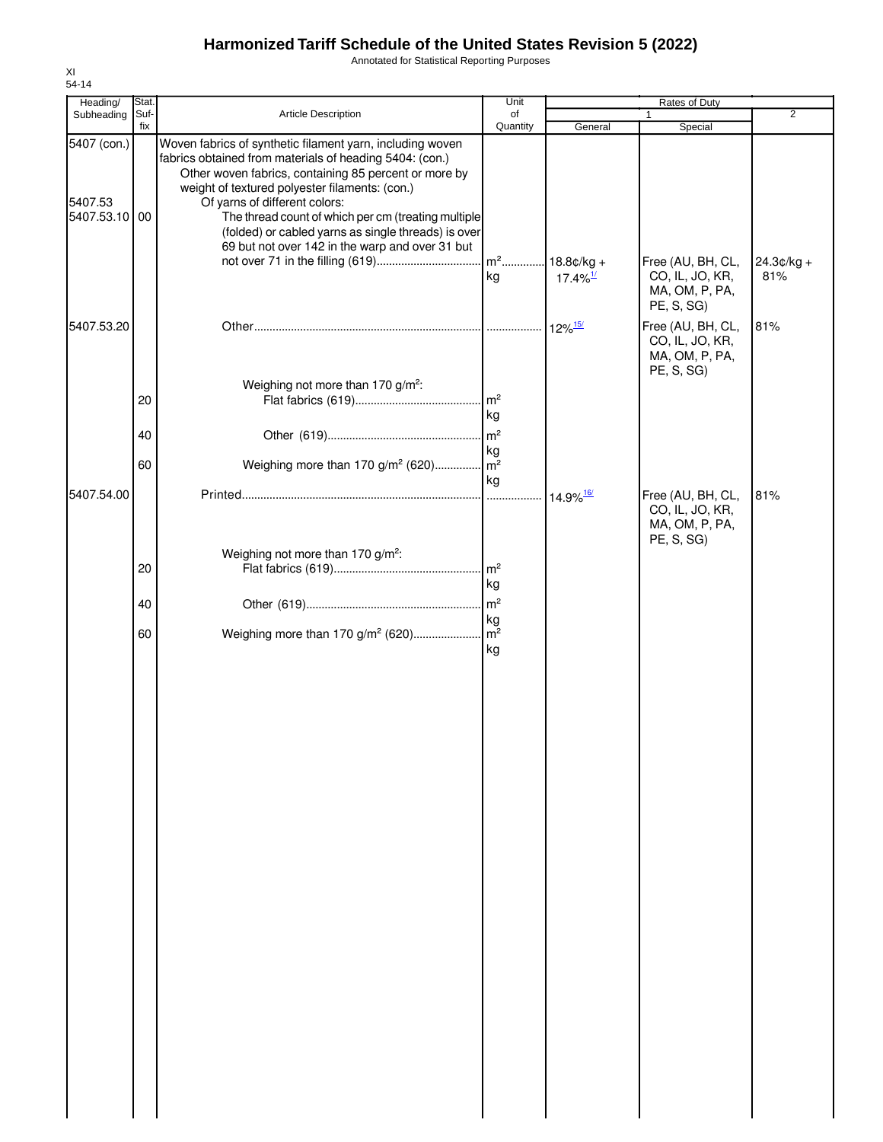Annotated for Statistical Reporting Purposes

|                |                                                                                                                                                                                                                                                                                                                     | Unit                |                                                                                                                                                                                                                 | Rates of Duty                                                        |                                            |
|----------------|---------------------------------------------------------------------------------------------------------------------------------------------------------------------------------------------------------------------------------------------------------------------------------------------------------------------|---------------------|-----------------------------------------------------------------------------------------------------------------------------------------------------------------------------------------------------------------|----------------------------------------------------------------------|--------------------------------------------|
|                |                                                                                                                                                                                                                                                                                                                     |                     |                                                                                                                                                                                                                 | 1.                                                                   | $\overline{2}$                             |
| 00             | Woven fabrics of synthetic filament yarn, including woven<br>fabrics obtained from materials of heading 5404: (con.)<br>Other woven fabrics, containing 85 percent or more by<br>weight of textured polyester filaments: (con.)<br>Of yarns of different colors:<br>69 but not over 142 in the warp and over 31 but | kg                  | $17.4\%$ <sup>1/</sup>                                                                                                                                                                                          | Free (AU, BH, CL,<br>CO, IL, JO, KR,<br>MA, OM, P, PA,               | $24.3¢/kg +$<br>81%                        |
|                |                                                                                                                                                                                                                                                                                                                     |                     |                                                                                                                                                                                                                 |                                                                      | 81%                                        |
| 20<br>40       | Weighing not more than 170 g/m <sup>2</sup> :                                                                                                                                                                                                                                                                       | kg<br>kg            |                                                                                                                                                                                                                 | CO, IL, JO, KR,<br>MA, OM, P, PA,<br>PE, S, SG)                      |                                            |
|                |                                                                                                                                                                                                                                                                                                                     | kg                  |                                                                                                                                                                                                                 |                                                                      |                                            |
| 20<br>40<br>60 | Weighing not more than 170 g/m <sup>2</sup> :                                                                                                                                                                                                                                                                       | kg<br>kg<br>kg      |                                                                                                                                                                                                                 | Free (AU, BH, CL,<br>CO, IL, JO, KR,<br>MA, OM, P, PA,<br>PE, S, SG) | 81%                                        |
|                | Stat.<br>Suf-<br>Subheading<br>fix<br>5407 (con.)<br>5407.53.10<br>5407.53.20<br>60<br>5407.54.00                                                                                                                                                                                                                   | Article Description | of<br>Quantity<br>The thread count of which per cm (treating multiple<br>(folded) or cabled yarns as single threads) is over<br>$\mathsf{Im}^2$<br>Weighing more than 170 g/m <sup>2</sup> (620) m <sup>2</sup> | General<br>$\cdot$ 12% $\frac{15}{12}$                               | Special<br>PE, S, SG)<br>Free (AU, BH, CL, |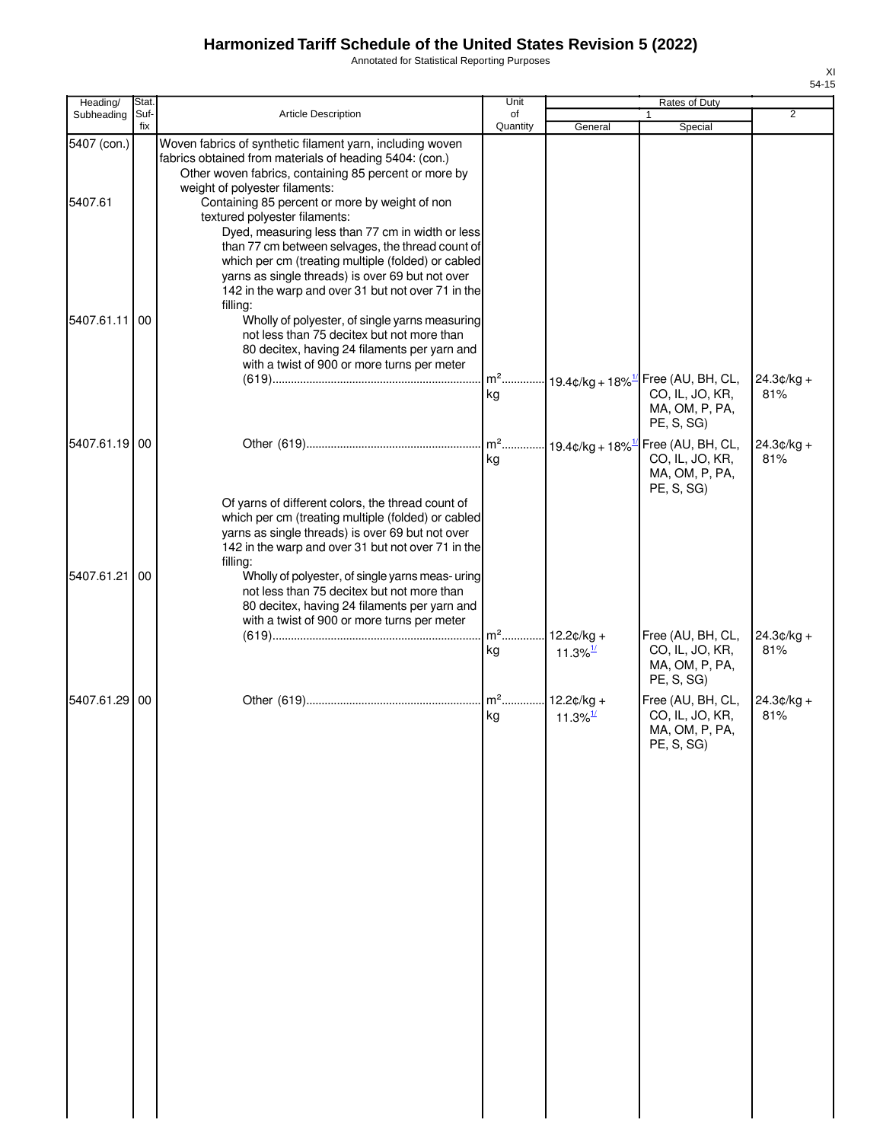Annotated for Statistical Reporting Purposes

| Heading/               | Stat.       |                                                                                                                                                                                                                                                                                                                                                                                                                                                                  | Unit           |                                     | Rates of Duty                                                                                         |                     |
|------------------------|-------------|------------------------------------------------------------------------------------------------------------------------------------------------------------------------------------------------------------------------------------------------------------------------------------------------------------------------------------------------------------------------------------------------------------------------------------------------------------------|----------------|-------------------------------------|-------------------------------------------------------------------------------------------------------|---------------------|
| Subheading             | Suf-<br>fix | <b>Article Description</b>                                                                                                                                                                                                                                                                                                                                                                                                                                       | of<br>Quantity | General                             | Special                                                                                               | $\overline{2}$      |
| 5407 (con.)<br>5407.61 |             | Woven fabrics of synthetic filament yarn, including woven<br>fabrics obtained from materials of heading 5404: (con.)<br>Other woven fabrics, containing 85 percent or more by<br>weight of polyester filaments:<br>Containing 85 percent or more by weight of non<br>textured polyester filaments:<br>Dyed, measuring less than 77 cm in width or less<br>than 77 cm between selvages, the thread count of<br>which per cm (treating multiple (folded) or cabled |                |                                     |                                                                                                       |                     |
| 5407.61.11             | 00          | yarns as single threads) is over 69 but not over<br>142 in the warp and over 31 but not over 71 in the<br>filling:<br>Wholly of polyester, of single yarns measuring<br>not less than 75 decitex but not more than<br>80 decitex, having 24 filaments per yarn and<br>with a twist of 900 or more turns per meter                                                                                                                                                | kg             |                                     | m <sup>2</sup> 19.4¢/kg + 18% <sup>1/</sup> Free (AU, BH, CL,<br>CO, IL, JO, KR,<br>MA, OM, P, PA,    | $24.3¢/kg +$<br>81% |
| 5407.61.19 00          |             |                                                                                                                                                                                                                                                                                                                                                                                                                                                                  | $m2$<br>kg     |                                     | PE, S, SG)<br>$-19.4$ ¢/kg + 18% <sup>1/</sup> Free (AU, BH, CL,<br>CO, IL, JO, KR,<br>MA, OM, P, PA, | $24.3¢/kg +$<br>81% |
| 5407.61.21             | 00          | Of yarns of different colors, the thread count of<br>which per cm (treating multiple (folded) or cabled<br>yarns as single threads) is over 69 but not over<br>142 in the warp and over 31 but not over 71 in the<br>filling:<br>Wholly of polyester, of single yarns meas- uring<br>not less than 75 decitex but not more than<br>80 decitex, having 24 filaments per yarn and<br>with a twist of 900 or more turns per meter                                   | $m2$ .         | $12.2¢/kg +$                        | PE, S, SG)<br>Free (AU, BH, CL,                                                                       | $24.3¢/kg +$        |
|                        |             |                                                                                                                                                                                                                                                                                                                                                                                                                                                                  | kg             | $11.3\%$ <sup>1/</sup>              | CO, IL, JO, KR,<br>MA, OM, P, PA,<br>PE, S, SG)                                                       | 81%                 |
| 5407.61.29 00          |             |                                                                                                                                                                                                                                                                                                                                                                                                                                                                  | $m2$ .<br>kg   | $12.2¢/kg +$<br>11.3% $\frac{1}{2}$ | Free (AU, BH, CL,<br>CO, IL, JO, KR,<br>MA, OM, P, PA,<br>PE, S, SG                                   | $24.3¢/kg +$<br>81% |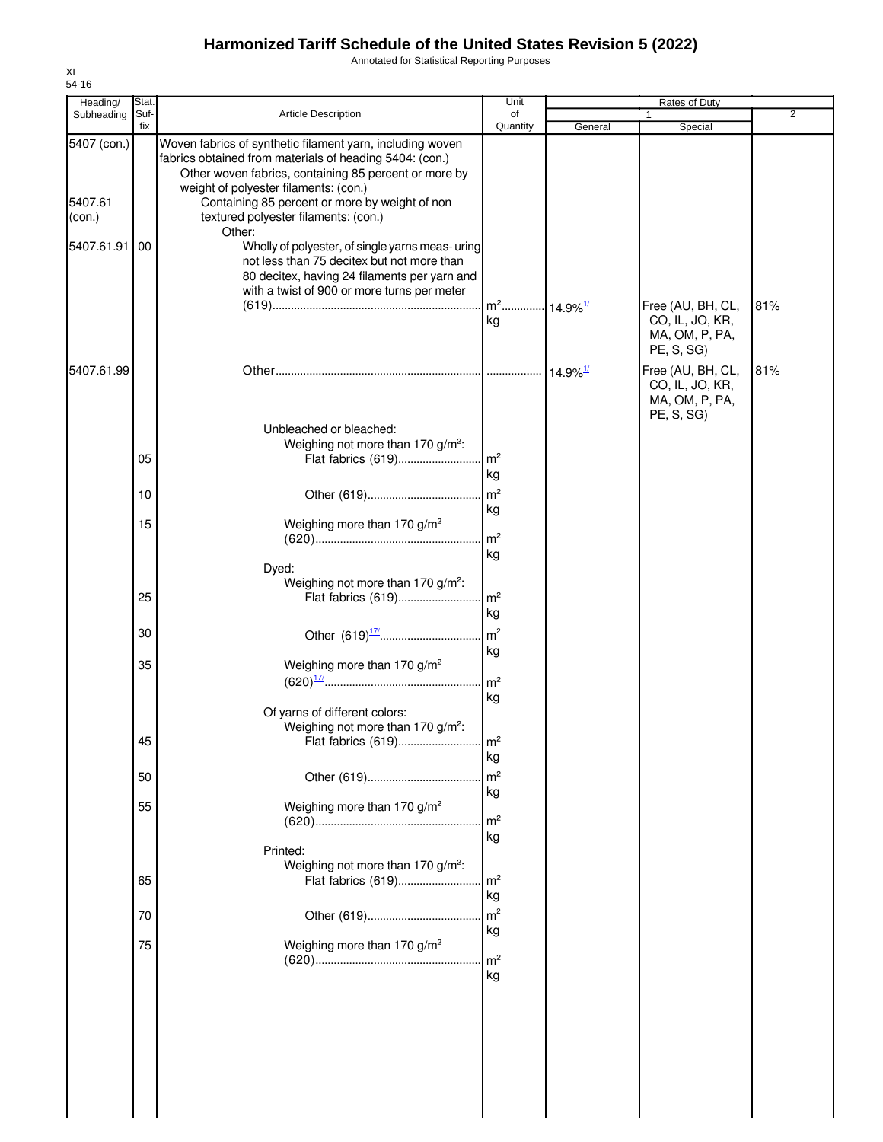Annotated for Statistical Reporting Purposes

| Heading/                                       | Stat.       |                                                                                                                                                                                                                                                                                                                                                                                                                                                                                                                             | Unit                                     |                             | <b>Rates of Duty</b>                                                 |                |
|------------------------------------------------|-------------|-----------------------------------------------------------------------------------------------------------------------------------------------------------------------------------------------------------------------------------------------------------------------------------------------------------------------------------------------------------------------------------------------------------------------------------------------------------------------------------------------------------------------------|------------------------------------------|-----------------------------|----------------------------------------------------------------------|----------------|
| Subheading                                     | Suf-<br>fix | <b>Article Description</b>                                                                                                                                                                                                                                                                                                                                                                                                                                                                                                  | of<br>Quantity                           | General                     | 1<br>Special                                                         | $\overline{2}$ |
| 5407 (con.)<br>5407.61<br>(con.)<br>5407.61.91 | 00          | Woven fabrics of synthetic filament yarn, including woven<br>fabrics obtained from materials of heading 5404: (con.)<br>Other woven fabrics, containing 85 percent or more by<br>weight of polyester filaments: (con.)<br>Containing 85 percent or more by weight of non<br>textured polyester filaments: (con.)<br>Other:<br>Wholly of polyester, of single yarns meas- uring<br>not less than 75 decitex but not more than<br>80 decitex, having 24 filaments per yarn and<br>with a twist of 900 or more turns per meter |                                          |                             |                                                                      |                |
|                                                |             |                                                                                                                                                                                                                                                                                                                                                                                                                                                                                                                             | m <sup>2</sup> 14.9% <sup>1/</sup><br>kg |                             | Free (AU, BH, CL,<br>CO, IL, JO, KR,<br>MA, OM, P, PA,<br>PE, S, SG) | 81%            |
| 5407.61.99                                     |             |                                                                                                                                                                                                                                                                                                                                                                                                                                                                                                                             |                                          | $\cdot$ 14.9% $\frac{1}{2}$ | Free (AU, BH, CL,<br>CO, IL, JO, KR,<br>MA, OM, P, PA,               | 81%            |
|                                                | 05          | Unbleached or bleached:<br>Weighing not more than 170 g/m <sup>2</sup> :<br>Flat fabrics (619)                                                                                                                                                                                                                                                                                                                                                                                                                              | $\mathsf{Im}^2$                          |                             | PE, S, SG)                                                           |                |
|                                                | 10          |                                                                                                                                                                                                                                                                                                                                                                                                                                                                                                                             | kg<br>m <sup>2</sup>                     |                             |                                                                      |                |
|                                                | 15          | Weighing more than 170 g/m <sup>2</sup>                                                                                                                                                                                                                                                                                                                                                                                                                                                                                     | kg<br>m <sup>2</sup>                     |                             |                                                                      |                |
|                                                | 25          | Dyed:<br>Weighing not more than 170 g/m <sup>2</sup> :<br>Flat fabrics (619)                                                                                                                                                                                                                                                                                                                                                                                                                                                | kg<br>$\mathsf{Im}^2$                    |                             |                                                                      |                |
|                                                | 30          |                                                                                                                                                                                                                                                                                                                                                                                                                                                                                                                             | kg<br>m <sup>2</sup>                     |                             |                                                                      |                |
|                                                | 35          | Weighing more than 170 g/m <sup>2</sup>                                                                                                                                                                                                                                                                                                                                                                                                                                                                                     | kg<br>m <sup>2</sup><br>kg               |                             |                                                                      |                |
|                                                | 45          | Of yarns of different colors:<br>Weighing not more than 170 g/m <sup>2</sup> :<br>Flat fabrics (619)                                                                                                                                                                                                                                                                                                                                                                                                                        | l w.<br>kg                               |                             |                                                                      |                |
|                                                | 50          |                                                                                                                                                                                                                                                                                                                                                                                                                                                                                                                             | m <sup>2</sup>                           |                             |                                                                      |                |
|                                                | 55          | Weighing more than 170 g/m <sup>2</sup>                                                                                                                                                                                                                                                                                                                                                                                                                                                                                     | kg<br>m <sup>2</sup><br>kg               |                             |                                                                      |                |
|                                                | 65          | Printed:<br>Weighing not more than 170 g/m <sup>2</sup> :<br>Flat fabrics (619)                                                                                                                                                                                                                                                                                                                                                                                                                                             | $\mathsf{Im}^2$<br>kg                    |                             |                                                                      |                |
|                                                | 70          |                                                                                                                                                                                                                                                                                                                                                                                                                                                                                                                             | m <sup>2</sup>                           |                             |                                                                      |                |
|                                                | 75          | Weighing more than 170 g/m <sup>2</sup>                                                                                                                                                                                                                                                                                                                                                                                                                                                                                     | kg<br>m <sup>2</sup><br>kg               |                             |                                                                      |                |
|                                                |             |                                                                                                                                                                                                                                                                                                                                                                                                                                                                                                                             |                                          |                             |                                                                      |                |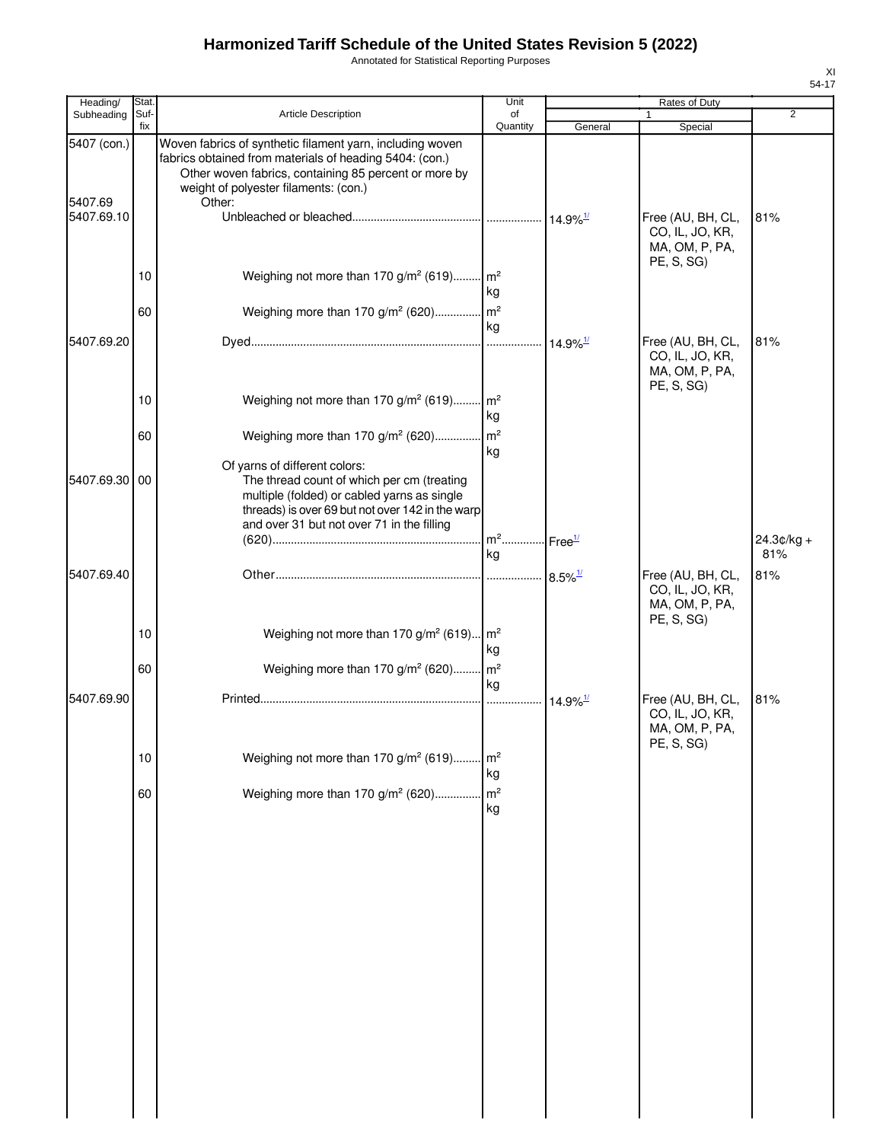Annotated for Statistical Reporting Purposes

| Heading/               | Stat        |                                                                                                                                                                                                                                  | Unit                                      |                        | Rates of Duty                                                        |                |
|------------------------|-------------|----------------------------------------------------------------------------------------------------------------------------------------------------------------------------------------------------------------------------------|-------------------------------------------|------------------------|----------------------------------------------------------------------|----------------|
| Subheading             | Suf-<br>fix | <b>Article Description</b>                                                                                                                                                                                                       | of<br>Quantity                            | General                | Special                                                              | $\overline{2}$ |
| 5407 (con.)<br>5407.69 |             | Woven fabrics of synthetic filament yarn, including woven<br>fabrics obtained from materials of heading 5404: (con.)<br>Other woven fabrics, containing 85 percent or more by<br>weight of polyester filaments: (con.)<br>Other: |                                           |                        |                                                                      |                |
| 5407.69.10             |             |                                                                                                                                                                                                                                  |                                           |                        | Free (AU, BH, CL,<br>CO, IL, JO, KR,<br>MA, OM, P, PA,<br>PE, S, SG) | 81%            |
|                        | 10<br>60    | Weighing not more than 170 g/m <sup>2</sup> (619) m <sup>2</sup><br>Weighing more than 170 g/m <sup>2</sup> (620) m <sup>2</sup>                                                                                                 | kg                                        |                        |                                                                      |                |
| 5407.69.20             |             |                                                                                                                                                                                                                                  | kg                                        |                        | Free (AU, BH, CL,<br>CO, IL, JO, KR,<br>MA, OM, P, PA,               | 81%            |
|                        | 10<br>60    | Weighing not more than 170 g/m <sup>2</sup> (619) m <sup>2</sup><br>Weighing more than 170 g/m <sup>2</sup> (620) m <sup>2</sup>                                                                                                 | kg                                        |                        | PE, S, SG)                                                           |                |
| 5407.69.30 00          |             | Of yarns of different colors:<br>The thread count of which per cm (treating<br>multiple (folded) or cabled yarns as single<br>threads) is over 69 but not over 142 in the warp<br>and over 31 but not over 71 in the filling     | kg<br>. m <sup>2</sup> Free <sup>1/</sup> |                        |                                                                      | 24.3¢/kg +     |
| 5407.69.40             |             |                                                                                                                                                                                                                                  | kg                                        | $8.5\%$ <sup>1/</sup>  | Free (AU, BH, CL,                                                    | 81%<br>81%     |
|                        | 10<br>60    | Weighing not more than 170 g/m <sup>2</sup> (619) $m^2$<br>Weighing more than 170 $g/m^2$ (620) $m^2$                                                                                                                            | kg                                        |                        | CO, IL, JO, KR,<br>MA, OM, P, PA,<br>PE, S, SG)                      |                |
| 5407.69.90             |             |                                                                                                                                                                                                                                  | ka<br>.                                   | $14.9\%$ <sup>1/</sup> | Free (AU, BH, CL,<br>CO, IL, JO, KR,<br>MA, OM, P, PA,<br>PE, S, SG) | 81%            |
|                        | 10          | Weighing not more than 170 g/m <sup>2</sup> (619)                                                                                                                                                                                | $\mathsf{Im}^2$<br>kg                     |                        |                                                                      |                |
|                        | 60          | Weighing more than 170 g/m <sup>2</sup> (620)                                                                                                                                                                                    | m <sup>2</sup><br>kg                      |                        |                                                                      |                |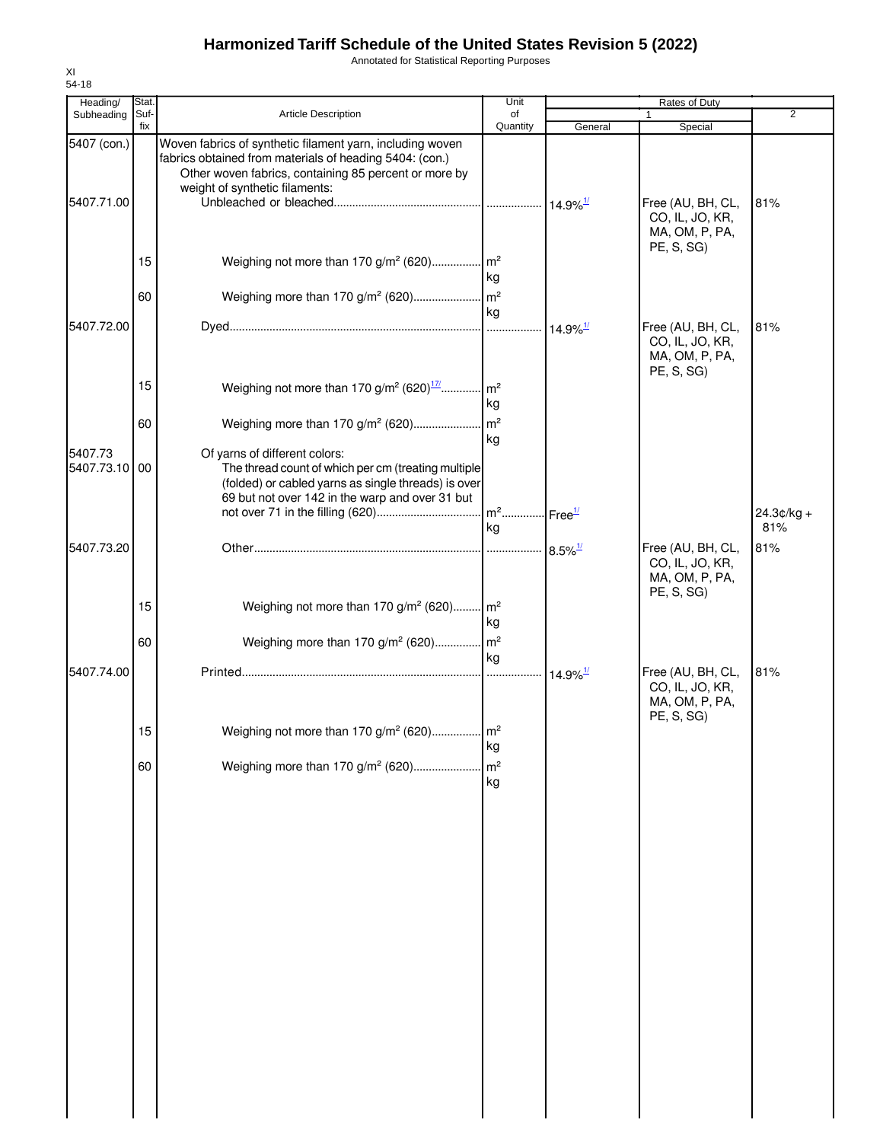Annotated for Statistical Reporting Purposes

| Heading/                  | Stat.    |                                                                                                                                                                                                                 | Unit                                    |                                | Rates of Duty                                                        |                     |
|---------------------------|----------|-----------------------------------------------------------------------------------------------------------------------------------------------------------------------------------------------------------------|-----------------------------------------|--------------------------------|----------------------------------------------------------------------|---------------------|
| Subheading                | Suf-     | <b>Article Description</b>                                                                                                                                                                                      | of                                      |                                | 1                                                                    | 2                   |
|                           | fix      |                                                                                                                                                                                                                 | Quantity                                | General                        | Special                                                              |                     |
| 5407 (con.)<br>5407.71.00 |          | Woven fabrics of synthetic filament yarn, including woven<br>fabrics obtained from materials of heading 5404: (con.)<br>Other woven fabrics, containing 85 percent or more by<br>weight of synthetic filaments: |                                         |                                | Free (AU, BH, CL,<br>CO, IL, JO, KR,<br>MA, OM, P, PA,               | 81%                 |
|                           | 15<br>60 | Weighing not more than 170 g/m <sup>2</sup> (620) m <sup>2</sup>                                                                                                                                                | kg                                      |                                | PE, S, SG)                                                           |                     |
| 5407.72.00                |          |                                                                                                                                                                                                                 | kg                                      | $\cdot$ 14.9% $^{\frac{1}{2}}$ | Free (AU, BH, CL,<br>CO, IL, JO, KR,<br>MA, OM, P, PA,<br>PE, S, SG) | 81%                 |
|                           | 15<br>60 | Weighing not more than 170 g/m <sup>2</sup> (620) <sup>17</sup> m <sup>2</sup><br>Weighing more than 170 g/m <sup>2</sup> (620)                                                                                 | kg<br>$\mathsf{Im}^2$                   |                                |                                                                      |                     |
| 5407.73<br>5407.73.10 00  |          | Of yarns of different colors:<br>The thread count of which per cm (treating multiple<br>(folded) or cabled yarns as single threads) is over<br>69 but not over 142 in the warp and over 31 but                  | kg                                      |                                |                                                                      |                     |
|                           |          |                                                                                                                                                                                                                 | m <sup>2</sup> Free <sup>1/</sup><br>kg |                                |                                                                      | $24.3¢/kg +$<br>81% |
| 5407.73.20                |          |                                                                                                                                                                                                                 |                                         |                                | Free (AU, BH, CL,<br>CO, IL, JO, KR,<br>MA, OM, P, PA,<br>PE, S, SG) | 81%                 |
|                           | 15<br>60 | Weighing not more than 170 g/m <sup>2</sup> (620) m <sup>2</sup><br>Weighing more than 170 g/m <sup>2</sup> (620) m <sup>2</sup>                                                                                | kg                                      |                                |                                                                      |                     |
| 5407.74.00                |          |                                                                                                                                                                                                                 | kg<br>.                                 | $14.9\%$ <sup>1/</sup>         | Free (AU, BH, CL,<br>CO, IL, JO, KR,<br>MA, OM, P, PA,               | 81%                 |
|                           | 15       | Weighing not more than 170 g/m <sup>2</sup> (620) m <sup>2</sup>                                                                                                                                                | kg                                      |                                | PE, S, SG)                                                           |                     |
|                           | 60       | Weighing more than 170 g/m <sup>2</sup> (620)                                                                                                                                                                   | m <sup>2</sup><br>kg                    |                                |                                                                      |                     |
|                           |          |                                                                                                                                                                                                                 |                                         |                                |                                                                      |                     |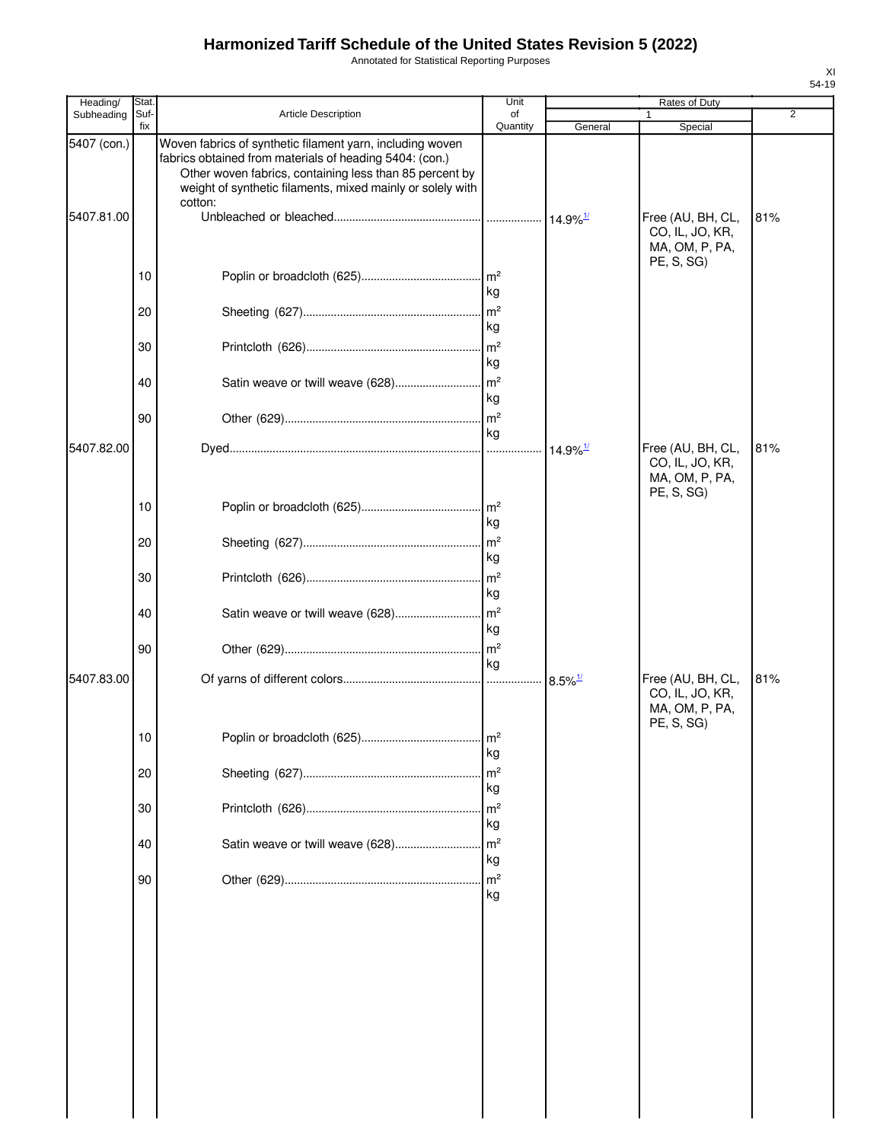Annotated for Statistical Reporting Purposes

| Heading/    | Stat.       |                                                                                                                                                                                                                                                          | Unit                                   |                        | Rates of Duty                                                        |                |
|-------------|-------------|----------------------------------------------------------------------------------------------------------------------------------------------------------------------------------------------------------------------------------------------------------|----------------------------------------|------------------------|----------------------------------------------------------------------|----------------|
| Subheading  | Suf-<br>fix | Article Description                                                                                                                                                                                                                                      | of<br>Quantity                         | General                | Special                                                              | $\overline{2}$ |
| 5407 (con.) |             | Woven fabrics of synthetic filament yarn, including woven<br>fabrics obtained from materials of heading 5404: (con.)<br>Other woven fabrics, containing less than 85 percent by<br>weight of synthetic filaments, mixed mainly or solely with<br>cotton: |                                        |                        |                                                                      |                |
| 5407.81.00  |             |                                                                                                                                                                                                                                                          |                                        |                        | Free (AU, BH, CL,<br>CO, IL, JO, KR,<br>MA, OM, P, PA,<br>PE, S, SG) | 81%            |
|             | 10          |                                                                                                                                                                                                                                                          | kg                                     |                        |                                                                      |                |
|             | 20          |                                                                                                                                                                                                                                                          | $\mathsf{Im}^2$<br>kg                  |                        |                                                                      |                |
|             | 30          |                                                                                                                                                                                                                                                          | $\mathsf{Im}^2$<br>kg                  |                        |                                                                      |                |
|             | 40          |                                                                                                                                                                                                                                                          | kg                                     |                        |                                                                      |                |
|             | 90          |                                                                                                                                                                                                                                                          | kg                                     |                        |                                                                      |                |
| 5407.82.00  |             |                                                                                                                                                                                                                                                          |                                        | $14.9\%$ <sup>1/</sup> | Free (AU, BH, CL,<br>CO, IL, JO, KR,<br>MA, OM, P, PA,<br>PE, S, SG) | 81%            |
|             | 10          |                                                                                                                                                                                                                                                          | kg                                     |                        |                                                                      |                |
|             | 20          |                                                                                                                                                                                                                                                          | kg                                     |                        |                                                                      |                |
|             | 30          |                                                                                                                                                                                                                                                          | kg                                     |                        |                                                                      |                |
|             | 40          | Satin weave or twill weave (628)                                                                                                                                                                                                                         | $\mathsf{Im}^2$<br>kg                  |                        |                                                                      |                |
| 5407.83.00  | 90          |                                                                                                                                                                                                                                                          | $\mathsf{Im}^2$<br>kg                  | $8.5\%$ <sup>1/</sup>  | Free (AU, BH, CL,                                                    | 81%            |
|             |             |                                                                                                                                                                                                                                                          |                                        |                        | CO, IL, JO, KR,<br>MA, OM, P, PA,<br>PE, S, SG)                      |                |
|             | 10          |                                                                                                                                                                                                                                                          | $\mathsf{Im}^2$<br>kg                  |                        |                                                                      |                |
|             | 20          |                                                                                                                                                                                                                                                          | $\mathsf{Im}^2$<br>kg                  |                        |                                                                      |                |
|             | 30          |                                                                                                                                                                                                                                                          | m <sup>2</sup><br>kg                   |                        |                                                                      |                |
|             | 40          | Satin weave or twill weave (628)                                                                                                                                                                                                                         | m <sup>2</sup><br>kg<br>m <sup>2</sup> |                        |                                                                      |                |
|             | 90          |                                                                                                                                                                                                                                                          | kg                                     |                        |                                                                      |                |
|             |             |                                                                                                                                                                                                                                                          |                                        |                        |                                                                      |                |
|             |             |                                                                                                                                                                                                                                                          |                                        |                        |                                                                      |                |
|             |             |                                                                                                                                                                                                                                                          |                                        |                        |                                                                      |                |
|             |             |                                                                                                                                                                                                                                                          |                                        |                        |                                                                      |                |
|             |             |                                                                                                                                                                                                                                                          |                                        |                        |                                                                      |                |
|             |             |                                                                                                                                                                                                                                                          |                                        |                        |                                                                      |                |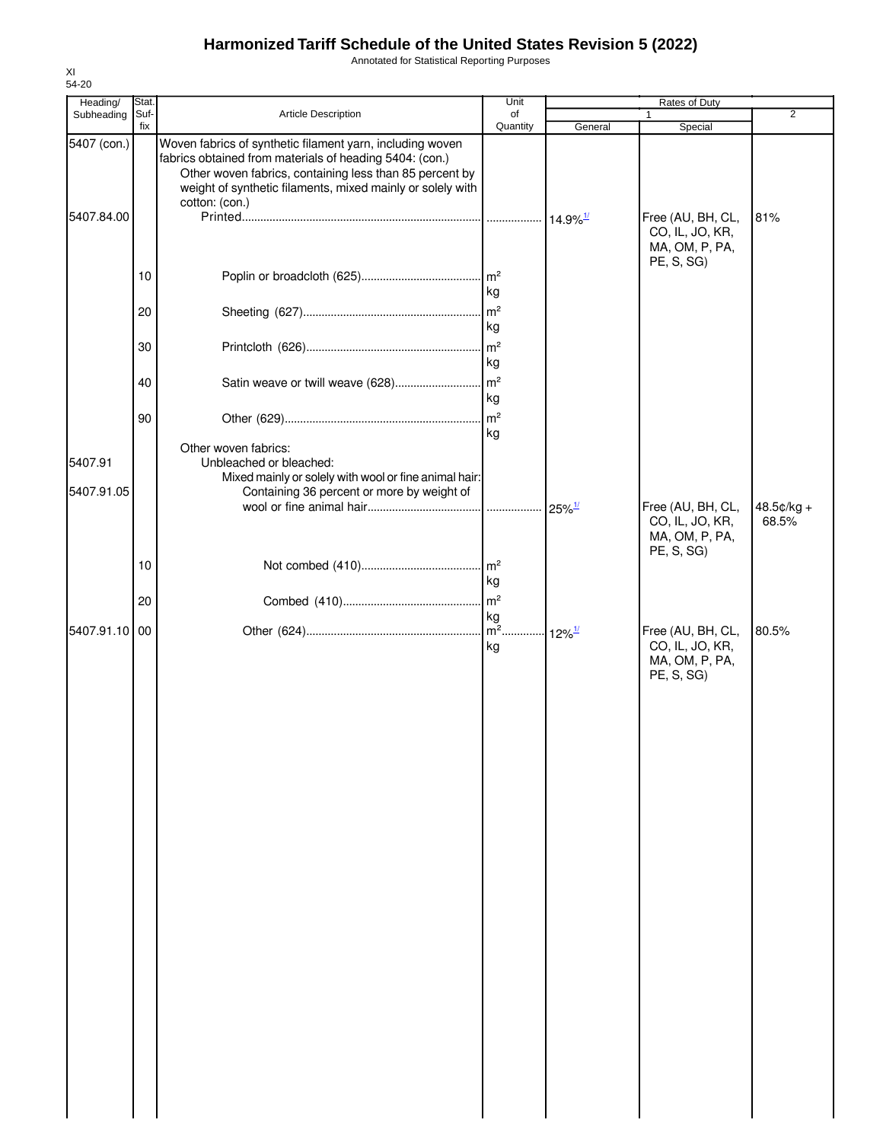Annotated for Statistical Reporting Purposes

| Heading/      | Stat.       |                                                                                                                                                                                                                                               | Unit                                  | Rates of Duty          |                                                                      |                |  |
|---------------|-------------|-----------------------------------------------------------------------------------------------------------------------------------------------------------------------------------------------------------------------------------------------|---------------------------------------|------------------------|----------------------------------------------------------------------|----------------|--|
| Subheading    | Suf-<br>fix | Article Description                                                                                                                                                                                                                           | of                                    |                        |                                                                      | $\overline{2}$ |  |
| 5407 (con.)   |             | Woven fabrics of synthetic filament yarn, including woven<br>fabrics obtained from materials of heading 5404: (con.)<br>Other woven fabrics, containing less than 85 percent by<br>weight of synthetic filaments, mixed mainly or solely with | Quantity                              | General                | Special                                                              |                |  |
| 5407.84.00    |             | cotton: (con.)                                                                                                                                                                                                                                |                                       | $14.9\%$ <sup>1/</sup> | Free (AU, BH, CL,<br>CO, IL, JO, KR,<br>MA, OM, P, PA,<br>PE, S, SG) | 81%            |  |
|               | 10          |                                                                                                                                                                                                                                               | kg                                    |                        |                                                                      |                |  |
|               | 20          |                                                                                                                                                                                                                                               | m <sup>2</sup><br>kg                  |                        |                                                                      |                |  |
|               | 30          |                                                                                                                                                                                                                                               | m <sup>2</sup><br>kg                  |                        |                                                                      |                |  |
|               | 40          | Satin weave or twill weave (628)                                                                                                                                                                                                              | m <sup>2</sup><br>kg                  |                        |                                                                      |                |  |
|               | 90          |                                                                                                                                                                                                                                               | $\mathsf{Im}^2$<br>kg                 |                        |                                                                      |                |  |
| 5407.91       |             | Other woven fabrics:<br>Unbleached or bleached:<br>Mixed mainly or solely with wool or fine animal hair:                                                                                                                                      |                                       |                        |                                                                      |                |  |
| 5407.91.05    |             | Containing 36 percent or more by weight of                                                                                                                                                                                                    |                                       | $25\%$ <sup>1/</sup>   | Free (AU, BH, CL,                                                    | $48.5¢/kg +$   |  |
|               |             |                                                                                                                                                                                                                                               |                                       |                        | CO, IL, JO, KR,<br>MA, OM, P, PA,<br>PE, S, SG)                      | 68.5%          |  |
|               | 10          |                                                                                                                                                                                                                                               | kg                                    |                        |                                                                      |                |  |
|               | 20          |                                                                                                                                                                                                                                               | $\mathsf{Im}^2$<br>kg<br>$\sqrt{m^2}$ |                        |                                                                      |                |  |
| 5407.91.10 00 |             |                                                                                                                                                                                                                                               | kg                                    | $12\%$ <sup>1/</sup>   | Free (AU, BH, CL,<br>CO, IL, JO, KR,<br>MA, OM, P, PA,<br>PE, S, SG) | 80.5%          |  |
|               |             |                                                                                                                                                                                                                                               |                                       |                        |                                                                      |                |  |
|               |             |                                                                                                                                                                                                                                               |                                       |                        |                                                                      |                |  |
|               |             |                                                                                                                                                                                                                                               |                                       |                        |                                                                      |                |  |
|               |             |                                                                                                                                                                                                                                               |                                       |                        |                                                                      |                |  |
|               |             |                                                                                                                                                                                                                                               |                                       |                        |                                                                      |                |  |
|               |             |                                                                                                                                                                                                                                               |                                       |                        |                                                                      |                |  |
|               |             |                                                                                                                                                                                                                                               |                                       |                        |                                                                      |                |  |
|               |             |                                                                                                                                                                                                                                               |                                       |                        |                                                                      |                |  |
|               |             |                                                                                                                                                                                                                                               |                                       |                        |                                                                      |                |  |
|               |             |                                                                                                                                                                                                                                               |                                       |                        |                                                                      |                |  |
|               |             |                                                                                                                                                                                                                                               |                                       |                        |                                                                      |                |  |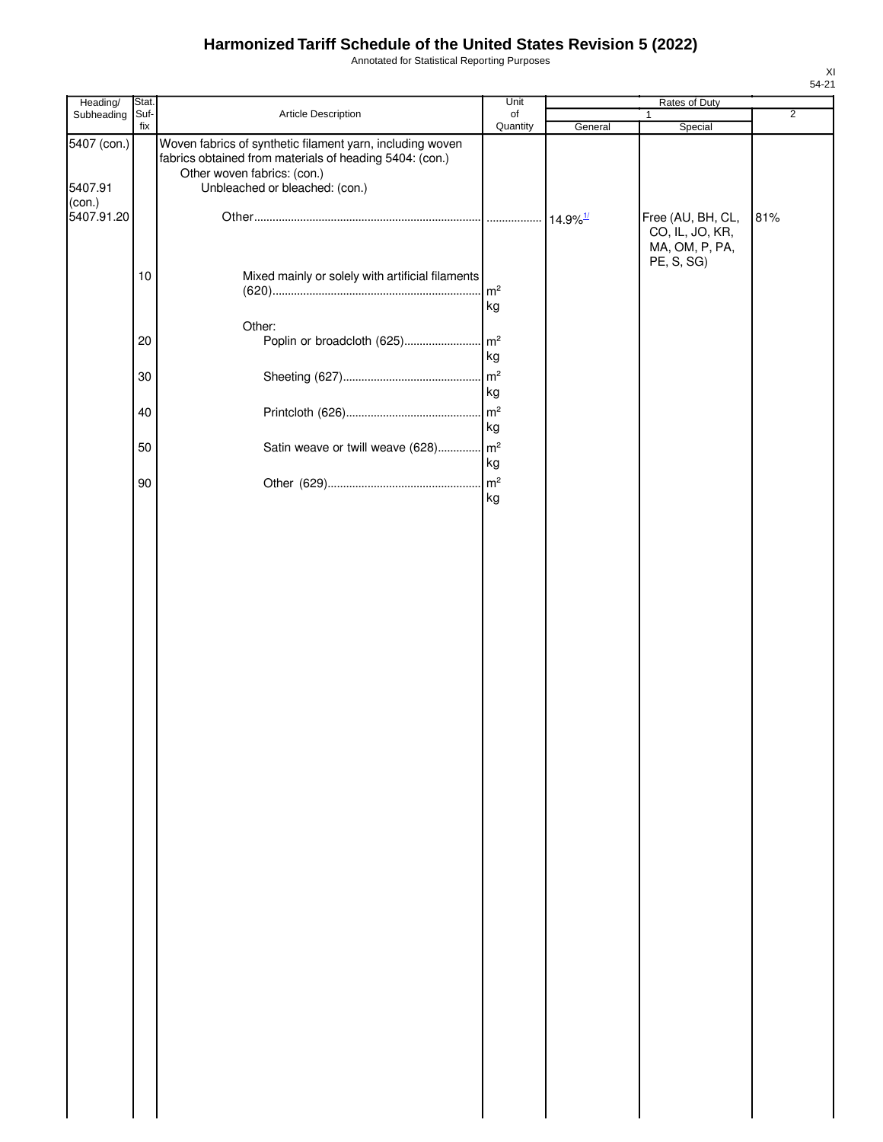Annotated for Statistical Reporting Purposes

| Heading/                         | Stat. |                                                                                                                                                                                       | Unit                 |                        | Rates of Duty                                          |                |
|----------------------------------|-------|---------------------------------------------------------------------------------------------------------------------------------------------------------------------------------------|----------------------|------------------------|--------------------------------------------------------|----------------|
| Subheading                       | Suf-  | Article Description                                                                                                                                                                   | of                   |                        | $\mathbf{1}$                                           | $\overline{2}$ |
| 5407 (con.)<br>5407.91<br>(con.) | fix   | Woven fabrics of synthetic filament yarn, including woven<br>fabrics obtained from materials of heading 5404: (con.)<br>Other woven fabrics: (con.)<br>Unbleached or bleached: (con.) | Quantity             | General                | Special                                                |                |
| 5407.91.20                       |       |                                                                                                                                                                                       |                      | $14.9\%$ <sup>1/</sup> | Free (AU, BH, CL,<br>CO, IL, JO, KR,<br>MA, OM, P, PA, | 81%            |
|                                  | $10$  | Mixed mainly or solely with artificial filaments                                                                                                                                      | m <sup>2</sup><br>kg |                        | PE, S, SG)                                             |                |
|                                  | 20    | Other:<br>Poplin or broadcloth (625)                                                                                                                                                  | m <sup>2</sup><br>kg |                        |                                                        |                |
|                                  | 30    |                                                                                                                                                                                       | m <sup>2</sup><br>kg |                        |                                                        |                |
|                                  | 40    |                                                                                                                                                                                       | m <sup>2</sup><br>kg |                        |                                                        |                |
|                                  | 50    | Satin weave or twill weave (628)                                                                                                                                                      | $\mathsf{m}^2$<br>kg |                        |                                                        |                |
|                                  | 90    |                                                                                                                                                                                       | m <sup>2</sup><br>kg |                        |                                                        |                |
|                                  |       |                                                                                                                                                                                       |                      |                        |                                                        |                |
|                                  |       |                                                                                                                                                                                       |                      |                        |                                                        |                |
|                                  |       |                                                                                                                                                                                       |                      |                        |                                                        |                |
|                                  |       |                                                                                                                                                                                       |                      |                        |                                                        |                |
|                                  |       |                                                                                                                                                                                       |                      |                        |                                                        |                |
|                                  |       |                                                                                                                                                                                       |                      |                        |                                                        |                |
|                                  |       |                                                                                                                                                                                       |                      |                        |                                                        |                |
|                                  |       |                                                                                                                                                                                       |                      |                        |                                                        |                |
|                                  |       |                                                                                                                                                                                       |                      |                        |                                                        |                |
|                                  |       |                                                                                                                                                                                       |                      |                        |                                                        |                |
|                                  |       |                                                                                                                                                                                       |                      |                        |                                                        |                |
|                                  |       |                                                                                                                                                                                       |                      |                        |                                                        |                |
|                                  |       |                                                                                                                                                                                       |                      |                        |                                                        |                |
|                                  |       |                                                                                                                                                                                       |                      |                        |                                                        |                |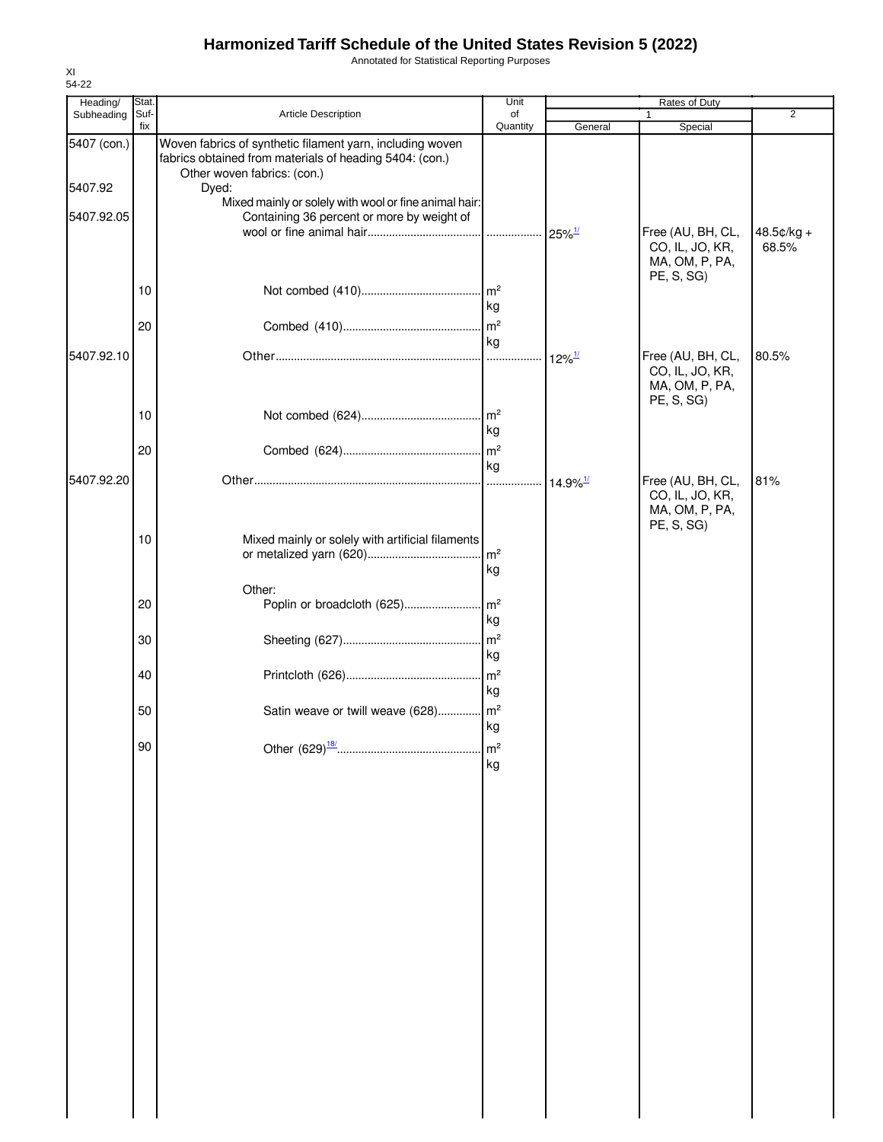Annotated for Statistical Reporting Purposes

| Heading/    | Stat. |                                                                                                                                                     | Unit                  |                        | Rates of Duty                                                        |                     |
|-------------|-------|-----------------------------------------------------------------------------------------------------------------------------------------------------|-----------------------|------------------------|----------------------------------------------------------------------|---------------------|
| Subheading  | Suf-  | Article Description                                                                                                                                 | of                    |                        | 1                                                                    | $\overline{2}$      |
| 5407 (con.) | fix   | Woven fabrics of synthetic filament yarn, including woven<br>fabrics obtained from materials of heading 5404: (con.)<br>Other woven fabrics: (con.) | Quantity              | General                | Special                                                              |                     |
| 5407.92     |       | Dyed:                                                                                                                                               |                       |                        |                                                                      |                     |
| 5407.92.05  |       | Mixed mainly or solely with wool or fine animal hair:<br>Containing 36 percent or more by weight of                                                 |                       |                        |                                                                      |                     |
|             |       |                                                                                                                                                     |                       | $25\%$ <sup>1/</sup>   | Free (AU, BH, CL,<br>CO, IL, JO, KR,<br>MA, OM, P, PA,<br>PE, S, SG) | 48.5¢/kg +<br>68.5% |
|             | 10    |                                                                                                                                                     | kg                    |                        |                                                                      |                     |
|             | 20    |                                                                                                                                                     | kg                    |                        |                                                                      |                     |
| 5407.92.10  |       |                                                                                                                                                     |                       | $12\%$ <sup>1/</sup>   | Free (AU, BH, CL,<br>CO, IL, JO, KR,<br>MA, OM, P, PA,<br>PE, S, SG) | 80.5%               |
|             | 10    |                                                                                                                                                     | $\mathsf{Im}^2$<br>kg |                        |                                                                      |                     |
|             | 20    |                                                                                                                                                     | m <sup>2</sup><br>kg  |                        |                                                                      |                     |
| 5407.92.20  |       |                                                                                                                                                     | .                     | $14.9\%$ <sup>1/</sup> | Free (AU, BH, CL,<br>CO, IL, JO, KR,<br>MA, OM, P, PA,<br>PE, S, SG) | 81%                 |
|             | 10    | Mixed mainly or solely with artificial filaments                                                                                                    | m <sup>2</sup><br>kg  |                        |                                                                      |                     |
|             | 20    | Other:<br>Poplin or broadcloth (625)                                                                                                                | $\mathsf{Im}^2$<br>kg |                        |                                                                      |                     |
|             | 30    |                                                                                                                                                     | m <sup>2</sup><br>kg  |                        |                                                                      |                     |
|             | 40    |                                                                                                                                                     | m <sup>2</sup><br>kg  |                        |                                                                      |                     |
|             | 50    | Satin weave or twill weave (628)                                                                                                                    | $\mathsf{m}^2$<br>kg  |                        |                                                                      |                     |
|             | 90    |                                                                                                                                                     | m <sup>2</sup><br>kg  |                        |                                                                      |                     |
|             |       |                                                                                                                                                     |                       |                        |                                                                      |                     |
|             |       |                                                                                                                                                     |                       |                        |                                                                      |                     |
|             |       |                                                                                                                                                     |                       |                        |                                                                      |                     |
|             |       |                                                                                                                                                     |                       |                        |                                                                      |                     |
|             |       |                                                                                                                                                     |                       |                        |                                                                      |                     |
|             |       |                                                                                                                                                     |                       |                        |                                                                      |                     |
|             |       |                                                                                                                                                     |                       |                        |                                                                      |                     |
|             |       |                                                                                                                                                     |                       |                        |                                                                      |                     |
|             |       |                                                                                                                                                     |                       |                        |                                                                      |                     |
|             |       |                                                                                                                                                     |                       |                        |                                                                      |                     |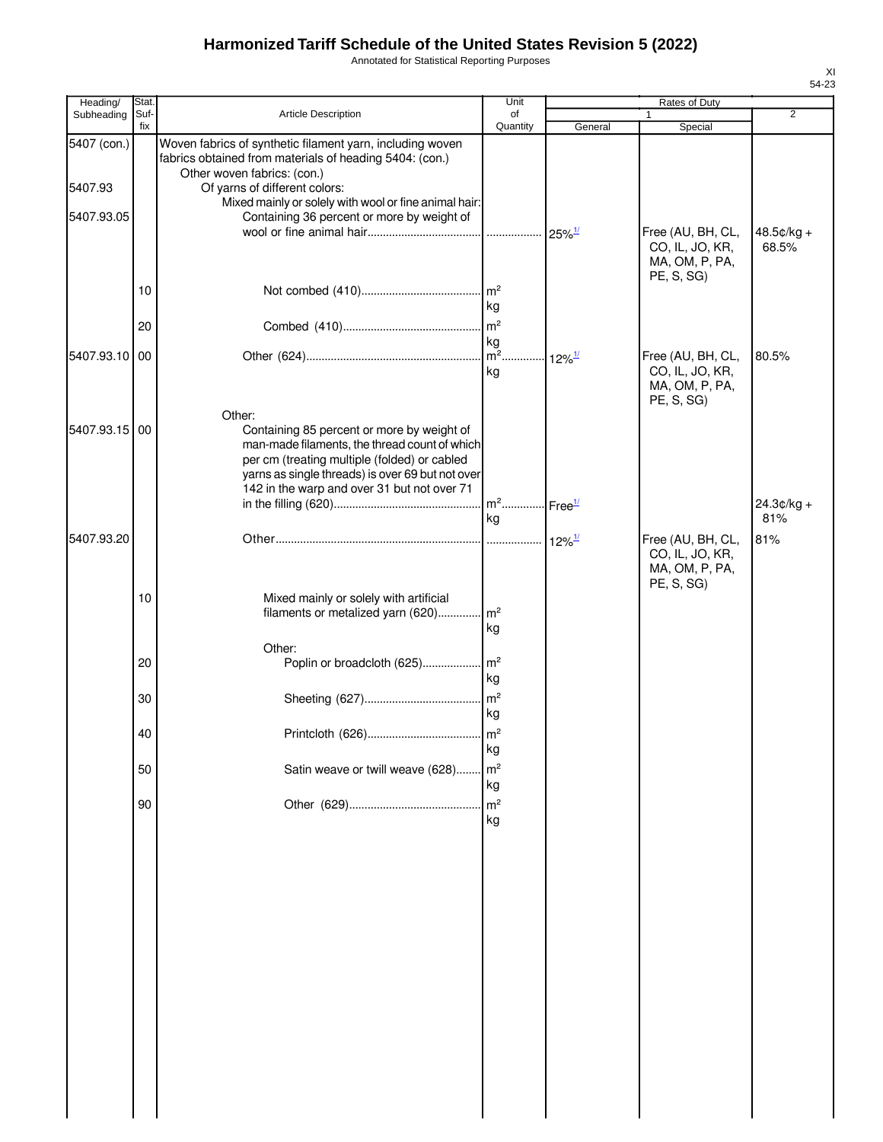Annotated for Statistical Reporting Purposes

| Heading/      | Stat.       |                                                                                                                                                                                                                                                          | Unit                                |                           | Rates of Duty                                                        |                     |
|---------------|-------------|----------------------------------------------------------------------------------------------------------------------------------------------------------------------------------------------------------------------------------------------------------|-------------------------------------|---------------------------|----------------------------------------------------------------------|---------------------|
| Subheading    | Suf-<br>fix | Article Description                                                                                                                                                                                                                                      | of<br>Quantity                      |                           | 1                                                                    | $\overline{2}$      |
| 5407 (con.)   |             | Woven fabrics of synthetic filament yarn, including woven<br>fabrics obtained from materials of heading 5404: (con.)                                                                                                                                     |                                     | General                   | Special                                                              |                     |
|               |             | Other woven fabrics: (con.)                                                                                                                                                                                                                              |                                     |                           |                                                                      |                     |
| 5407.93       |             | Of yarns of different colors:<br>Mixed mainly or solely with wool or fine animal hair:                                                                                                                                                                   |                                     |                           |                                                                      |                     |
| 5407.93.05    |             | Containing 36 percent or more by weight of                                                                                                                                                                                                               |                                     |                           |                                                                      |                     |
|               |             |                                                                                                                                                                                                                                                          |                                     |                           | Free (AU, BH, CL,<br>CO, IL, JO, KR,<br>MA, OM, P, PA,               | 48.5¢/kg +<br>68.5% |
|               | 10          |                                                                                                                                                                                                                                                          | m <sup>2</sup>                      |                           | PE, S, SG)                                                           |                     |
|               |             |                                                                                                                                                                                                                                                          | kg                                  |                           |                                                                      |                     |
|               | 20          |                                                                                                                                                                                                                                                          | m <sup>2</sup>                      |                           |                                                                      |                     |
|               |             |                                                                                                                                                                                                                                                          | kg                                  |                           |                                                                      |                     |
| 5407.93.10 00 |             |                                                                                                                                                                                                                                                          | $\overline{\mathsf{m}}^2$<br>kg     | $\cdot$ 12% $\frac{1}{2}$ | Free (AU, BH, CL,<br>CO, IL, JO, KR,<br>MA, OM, P, PA,<br>PE, S, SG) | 80.5%               |
| 5407.93.15    | 00          | Other:<br>Containing 85 percent or more by weight of<br>man-made filaments, the thread count of which<br>per cm (treating multiple (folded) or cabled<br>yarns as single threads) is over 69 but not over<br>142 in the warp and over 31 but not over 71 |                                     |                           |                                                                      |                     |
|               |             |                                                                                                                                                                                                                                                          | . m <sup>2</sup> Free <sup>1/</sup> |                           |                                                                      | $24.3¢/kg +$        |
|               |             |                                                                                                                                                                                                                                                          | kg                                  |                           |                                                                      | 81%                 |
| 5407.93.20    |             |                                                                                                                                                                                                                                                          |                                     | $12\%$ <sup>1/</sup>      | Free (AU, BH, CL,<br>CO, IL, JO, KR,<br>MA, OM, P, PA,<br>PE, S, SG) | 81%                 |
|               | 10          | Mixed mainly or solely with artificial<br>filaments or metalized yarn (620)                                                                                                                                                                              | $\mathsf{Im}^2$<br>kg               |                           |                                                                      |                     |
|               |             | Other:                                                                                                                                                                                                                                                   |                                     |                           |                                                                      |                     |
|               | 20          | Poplin or broadcloth (625)                                                                                                                                                                                                                               | $\mathsf{Im}^2$<br>kg               |                           |                                                                      |                     |
|               | 30          |                                                                                                                                                                                                                                                          | m <sup>2</sup><br>kg                |                           |                                                                      |                     |
|               | 40          |                                                                                                                                                                                                                                                          |                                     |                           |                                                                      |                     |
|               | 50          | Satin weave or twill weave (628)                                                                                                                                                                                                                         | kg<br>m <sup>2</sup>                |                           |                                                                      |                     |
|               |             |                                                                                                                                                                                                                                                          | kg                                  |                           |                                                                      |                     |
|               | 90          |                                                                                                                                                                                                                                                          | m <sup>2</sup><br>kg                |                           |                                                                      |                     |
|               |             |                                                                                                                                                                                                                                                          |                                     |                           |                                                                      |                     |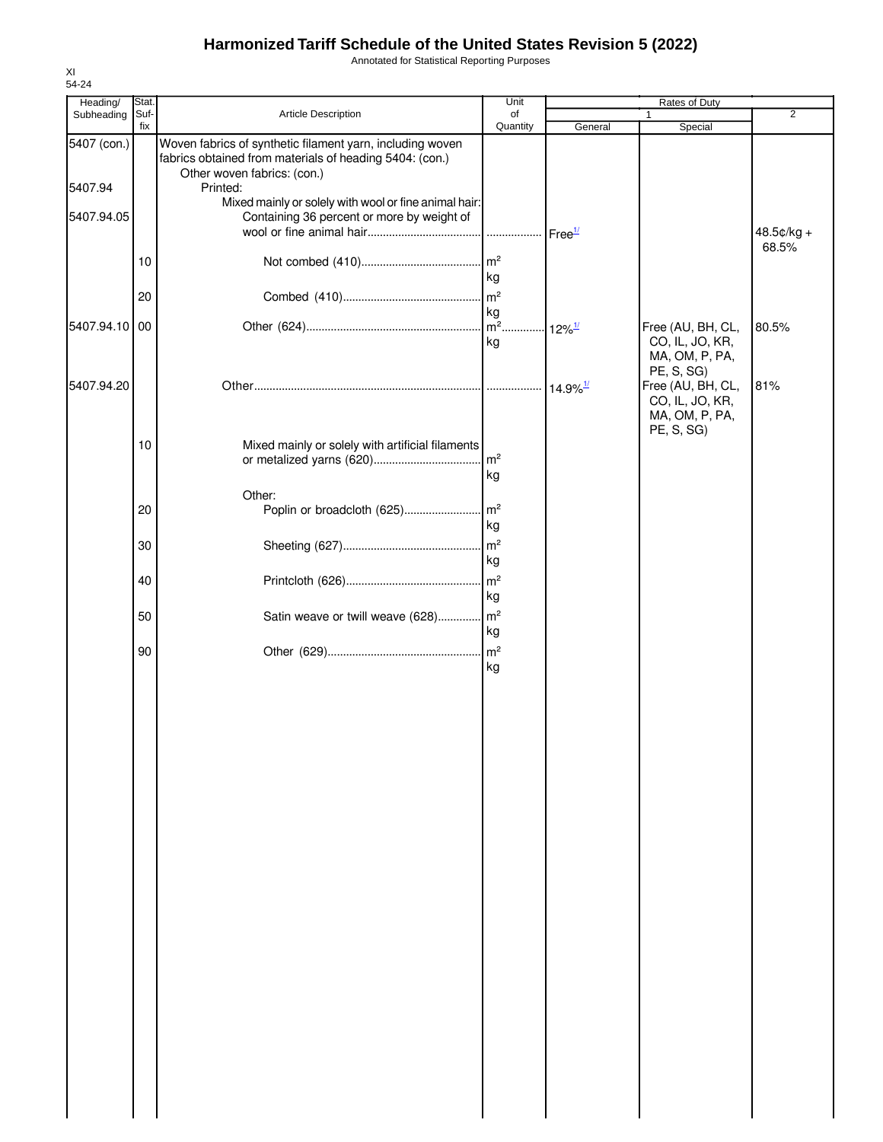Annotated for Statistical Reporting Purposes

| Heading/      | Stat.       |                                                                                                                      | Unit                          | Rates of Duty          |                                      |                |
|---------------|-------------|----------------------------------------------------------------------------------------------------------------------|-------------------------------|------------------------|--------------------------------------|----------------|
| Subheading    | Suf-<br>fix | Article Description                                                                                                  | of<br>Quantity                | General                |                                      | $\overline{2}$ |
| 5407 (con.)   |             | Woven fabrics of synthetic filament yarn, including woven<br>fabrics obtained from materials of heading 5404: (con.) |                               |                        | Special                              |                |
| 5407.94       |             | Other woven fabrics: (con.)<br>Printed:                                                                              |                               |                        |                                      |                |
| 5407.94.05    |             | Mixed mainly or solely with wool or fine animal hair:<br>Containing 36 percent or more by weight of                  |                               |                        |                                      |                |
|               |             |                                                                                                                      |                               | Free <sup>1/</sup>     |                                      | 48.5¢/kg +     |
|               | 10          |                                                                                                                      | m <sup>2</sup>                |                        |                                      | 68.5%          |
|               |             |                                                                                                                      | kg                            |                        |                                      |                |
|               | 20          |                                                                                                                      | m <sup>2</sup><br>kg          |                        |                                      |                |
| 5407.94.10 00 |             |                                                                                                                      | $m^2$ 12% <sup>1/</sup><br>kg |                        | Free (AU, BH, CL,<br>CO, IL, JO, KR, | 80.5%          |
|               |             |                                                                                                                      |                               |                        | MA, OM, P, PA,                       |                |
| 5407.94.20    |             |                                                                                                                      |                               | $14.9\%$ <sup>1/</sup> | PE, S, SG)<br>Free (AU, BH, CL,      | 81%            |
|               |             |                                                                                                                      |                               |                        | CO, IL, JO, KR,<br>MA, OM, P, PA,    |                |
|               | 10          | Mixed mainly or solely with artificial filaments                                                                     |                               |                        | PE, S, SG)                           |                |
|               |             |                                                                                                                      |                               |                        |                                      |                |
|               |             | Other:                                                                                                               | kg                            |                        |                                      |                |
|               | 20          |                                                                                                                      |                               |                        |                                      |                |
|               | 30          |                                                                                                                      | kg<br>$\mathsf{Im}^2$         |                        |                                      |                |
|               |             |                                                                                                                      | kg                            |                        |                                      |                |
|               | 40          |                                                                                                                      | $\mathsf{Im}^2$<br>kg         |                        |                                      |                |
|               | 50          | Satin weave or twill weave (628) m <sup>2</sup>                                                                      |                               |                        |                                      |                |
|               |             |                                                                                                                      | kg<br>m <sup>2</sup>          |                        |                                      |                |
|               | 90          |                                                                                                                      | kg                            |                        |                                      |                |
|               |             |                                                                                                                      |                               |                        |                                      |                |
|               |             |                                                                                                                      |                               |                        |                                      |                |
|               |             |                                                                                                                      |                               |                        |                                      |                |
|               |             |                                                                                                                      |                               |                        |                                      |                |
|               |             |                                                                                                                      |                               |                        |                                      |                |
|               |             |                                                                                                                      |                               |                        |                                      |                |
|               |             |                                                                                                                      |                               |                        |                                      |                |
|               |             |                                                                                                                      |                               |                        |                                      |                |
|               |             |                                                                                                                      |                               |                        |                                      |                |
|               |             |                                                                                                                      |                               |                        |                                      |                |
|               |             |                                                                                                                      |                               |                        |                                      |                |
|               |             |                                                                                                                      |                               |                        |                                      |                |
|               |             |                                                                                                                      |                               |                        |                                      |                |
|               |             |                                                                                                                      |                               |                        |                                      |                |
|               |             |                                                                                                                      |                               |                        |                                      |                |
|               |             |                                                                                                                      |                               |                        |                                      |                |
|               |             |                                                                                                                      |                               |                        |                                      |                |
|               |             |                                                                                                                      |                               |                        |                                      |                |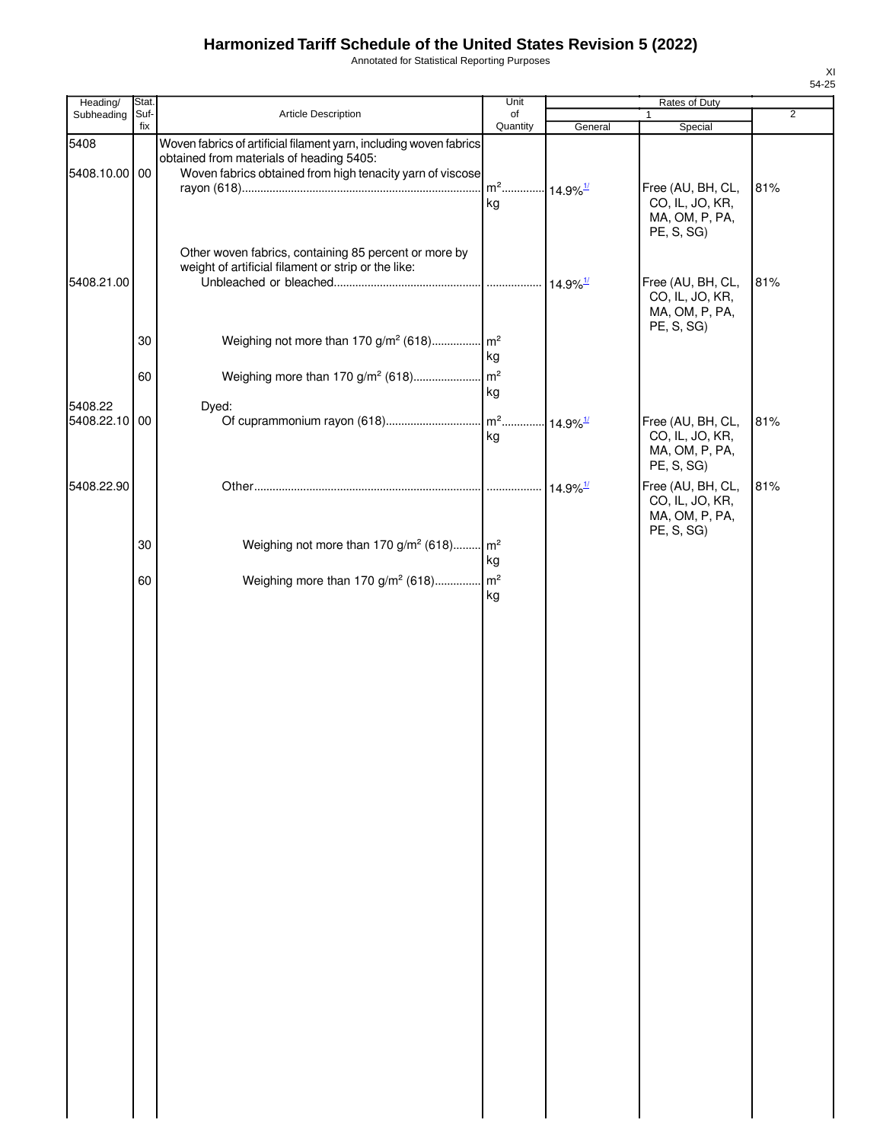Annotated for Statistical Reporting Purposes

| Heading/                 | Stat. |                                                                                                                                                                             | Unit                                     |                         | Rates of Duty                                                        |                |
|--------------------------|-------|-----------------------------------------------------------------------------------------------------------------------------------------------------------------------------|------------------------------------------|-------------------------|----------------------------------------------------------------------|----------------|
| Subheading               | Suf-  | Article Description                                                                                                                                                         | of                                       |                         | 1                                                                    | $\overline{2}$ |
| 5408<br>5408.10.00 00    | fix   | Woven fabrics of artificial filament yarn, including woven fabrics<br>obtained from materials of heading 5405:<br>Woven fabrics obtained from high tenacity yarn of viscose | Quantity                                 | General                 | Special                                                              |                |
|                          |       |                                                                                                                                                                             | m <sup>2</sup> 14.9% <sup>1/</sup><br>kg |                         | Free (AU, BH, CL,<br>CO, IL, JO, KR,<br>MA, OM, P, PA,<br>PE, S, SG) | 81%            |
| 5408.21.00               |       | Other woven fabrics, containing 85 percent or more by<br>weight of artificial filament or strip or the like:                                                                |                                          | $14.9\%$ <sup>1/</sup>  | Free (AU, BH, CL,<br>CO, IL, JO, KR,<br>MA, OM, P, PA,               | 81%            |
|                          | 30    | Weighing not more than 170 g/m <sup>2</sup> (618)                                                                                                                           | m <sup>2</sup><br>kg                     |                         | PE, S, SG)                                                           |                |
|                          | 60    | Weighing more than 170 g/m <sup>2</sup> (618)                                                                                                                               | m <sup>2</sup><br>kg                     |                         |                                                                      |                |
| 5408.22<br>5408.22.10 00 |       | Dyed:                                                                                                                                                                       | kg                                       | $.14.9\%$ <sup>1/</sup> | Free (AU, BH, CL,<br>CO, IL, JO, KR,<br>MA, OM, P, PA,<br>PE, S, SG) | 81%            |
| 5408.22.90               |       |                                                                                                                                                                             |                                          | $14.9\%$ <sup>1/</sup>  | Free (AU, BH, CL,<br>CO, IL, JO, KR,<br>MA, OM, P, PA,<br>PE, S, SG) | 81%            |
|                          | 30    | Weighing not more than 170 g/m <sup>2</sup> (618) m <sup>2</sup>                                                                                                            | kg                                       |                         |                                                                      |                |
|                          | 60    | Weighing more than 170 g/m <sup>2</sup> (618)                                                                                                                               | m <sup>2</sup><br>kg                     |                         |                                                                      |                |
|                          |       |                                                                                                                                                                             |                                          |                         |                                                                      |                |
|                          |       |                                                                                                                                                                             |                                          |                         |                                                                      |                |
|                          |       |                                                                                                                                                                             |                                          |                         |                                                                      |                |
|                          |       |                                                                                                                                                                             |                                          |                         |                                                                      |                |
|                          |       |                                                                                                                                                                             |                                          |                         |                                                                      |                |
|                          |       |                                                                                                                                                                             |                                          |                         |                                                                      |                |
|                          |       |                                                                                                                                                                             |                                          |                         |                                                                      |                |
|                          |       |                                                                                                                                                                             |                                          |                         |                                                                      |                |
|                          |       |                                                                                                                                                                             |                                          |                         |                                                                      |                |
|                          |       |                                                                                                                                                                             |                                          |                         |                                                                      |                |
|                          |       |                                                                                                                                                                             |                                          |                         |                                                                      |                |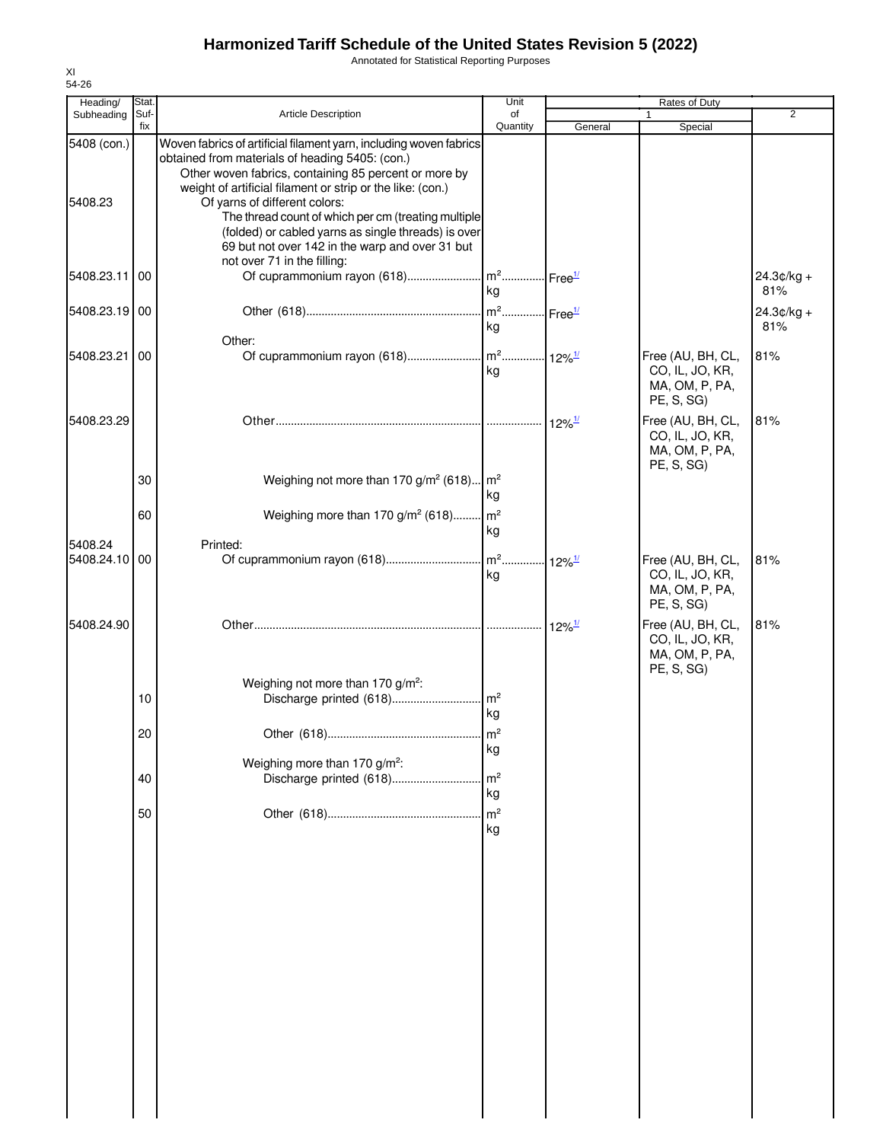Annotated for Statistical Reporting Purposes

| Heading/                 | Stat.       |                                                                                                                                                                                                                                                                                                                                                                                                                                                                               | Unit                                    |                      | Rates of Duty                                                        |                     |
|--------------------------|-------------|-------------------------------------------------------------------------------------------------------------------------------------------------------------------------------------------------------------------------------------------------------------------------------------------------------------------------------------------------------------------------------------------------------------------------------------------------------------------------------|-----------------------------------------|----------------------|----------------------------------------------------------------------|---------------------|
| Subheading               | Suf-<br>fix | <b>Article Description</b>                                                                                                                                                                                                                                                                                                                                                                                                                                                    | of<br>Quantity                          | General              | 1<br>Special                                                         | $\overline{2}$      |
| 5408 (con.)<br>5408.23   |             | Woven fabrics of artificial filament yarn, including woven fabrics<br>obtained from materials of heading 5405: (con.)<br>Other woven fabrics, containing 85 percent or more by<br>weight of artificial filament or strip or the like: (con.)<br>Of yarns of different colors:<br>The thread count of which per cm (treating multiple<br>(folded) or cabled yarns as single threads) is over<br>69 but not over 142 in the warp and over 31 but<br>not over 71 in the filling: |                                         |                      |                                                                      |                     |
| 5408.23.11 00            |             | Of cuprammonium rayon (618) m <sup>2</sup> Free <sup>1/</sup>                                                                                                                                                                                                                                                                                                                                                                                                                 | kg                                      |                      |                                                                      | 24.3¢/kg +<br>81%   |
| 5408.23.19 00            |             |                                                                                                                                                                                                                                                                                                                                                                                                                                                                               | m <sup>2</sup> Free <sup>1/</sup><br>kg |                      |                                                                      | $24.3¢/kg +$<br>81% |
| 5408.23.21               | 00          | Other:                                                                                                                                                                                                                                                                                                                                                                                                                                                                        | kg                                      |                      | Free (AU, BH, CL,<br>CO, IL, JO, KR,<br>MA, OM, P, PA,<br>PE, S, SG) | 81%                 |
| 5408.23.29               |             |                                                                                                                                                                                                                                                                                                                                                                                                                                                                               |                                         | $12\%$ <sup>1/</sup> | Free (AU, BH, CL,<br>CO, IL, JO, KR,<br>MA, OM, P, PA,<br>PE, S, SG) | 81%                 |
|                          | 30<br>60    | Weighing not more than 170 g/m <sup>2</sup> (618) $m^2$<br>Weighing more than 170 $g/m^2$ (618) $m^2$                                                                                                                                                                                                                                                                                                                                                                         | kg                                      |                      |                                                                      |                     |
| 5408.24<br>5408.24.10 00 |             | Printed:                                                                                                                                                                                                                                                                                                                                                                                                                                                                      | kg<br>kg                                | $12\%$ <sup>1/</sup> | Free (AU, BH, CL,<br>CO, IL, JO, KR,<br>MA, OM, P, PA,               | 81%                 |
| 5408.24.90               |             |                                                                                                                                                                                                                                                                                                                                                                                                                                                                               |                                         | $12\%$ <sup>1/</sup> | PE, S, SG)<br>Free (AU, BH, CL,<br>CO, IL, JO, KR,<br>MA, OM, P, PA, | 81%                 |
|                          | 10          | Weighing not more than 170 g/m <sup>2</sup> :<br>Discharge printed (618)                                                                                                                                                                                                                                                                                                                                                                                                      | $\mathsf{Im}^2$<br>kg                   |                      | PE, S, SG)                                                           |                     |
|                          | 20          |                                                                                                                                                                                                                                                                                                                                                                                                                                                                               | kg                                      |                      |                                                                      |                     |
|                          | 40          | Weighing more than 170 g/m <sup>2</sup> :<br>Discharge printed (618)                                                                                                                                                                                                                                                                                                                                                                                                          | m <sup>2</sup><br>kg                    |                      |                                                                      |                     |
|                          | 50          |                                                                                                                                                                                                                                                                                                                                                                                                                                                                               | m <sup>2</sup><br>kg                    |                      |                                                                      |                     |
|                          |             |                                                                                                                                                                                                                                                                                                                                                                                                                                                                               |                                         |                      |                                                                      |                     |
|                          |             |                                                                                                                                                                                                                                                                                                                                                                                                                                                                               |                                         |                      |                                                                      |                     |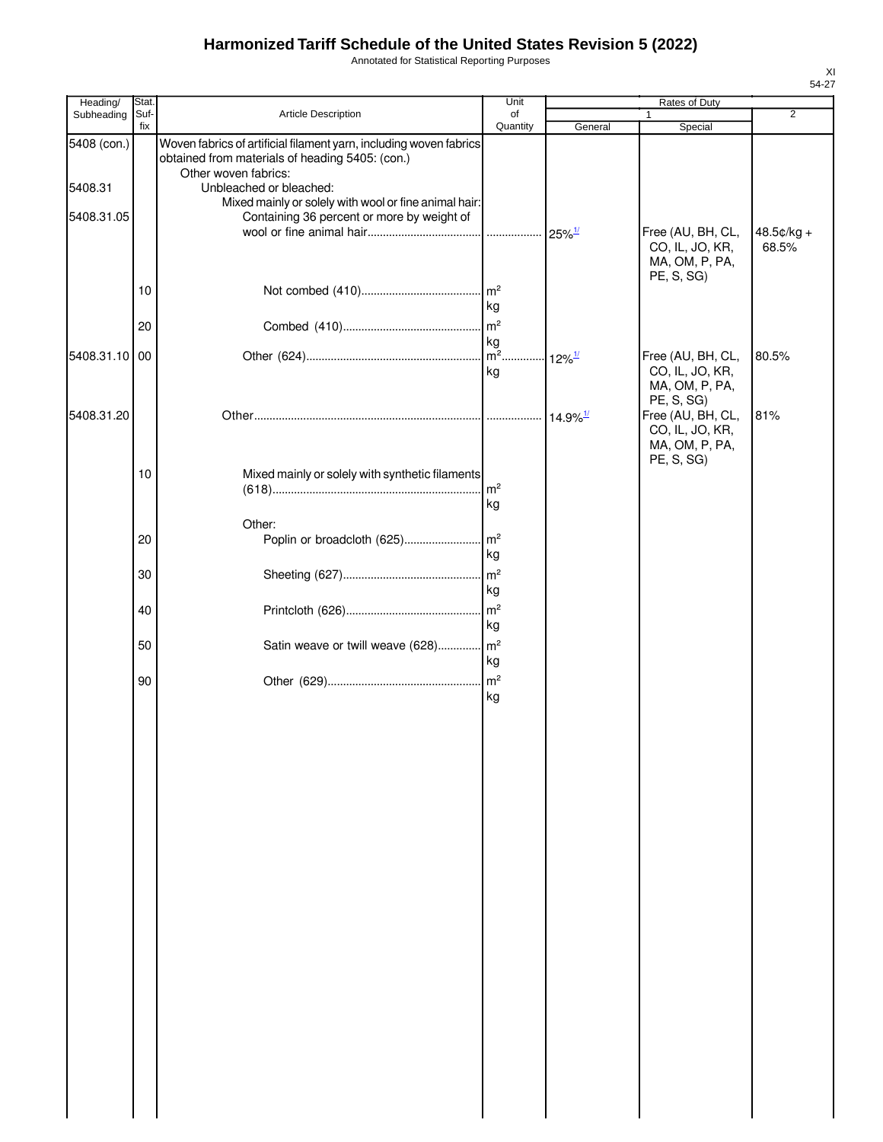Annotated for Statistical Reporting Purposes

| Heading/      | Stat.       |                                                                                                                                               | Unit                   | Rates of Duty             |                                                                      |                     |
|---------------|-------------|-----------------------------------------------------------------------------------------------------------------------------------------------|------------------------|---------------------------|----------------------------------------------------------------------|---------------------|
| Subheading    | Suf-<br>fix | Article Description                                                                                                                           | of<br>Quantity         | General                   | $\mathbf{1}$<br>Special                                              | $\overline{2}$      |
| 5408 (con.)   |             | Woven fabrics of artificial filament yarn, including woven fabrics<br>obtained from materials of heading 5405: (con.)<br>Other woven fabrics: |                        |                           |                                                                      |                     |
| 5408.31       |             | Unbleached or bleached:                                                                                                                       |                        |                           |                                                                      |                     |
| 5408.31.05    |             | Mixed mainly or solely with wool or fine animal hair:<br>Containing 36 percent or more by weight of                                           |                        |                           |                                                                      |                     |
|               |             |                                                                                                                                               |                        | $25\%$ <sup>1/</sup>      | Free (AU, BH, CL,<br>CO, IL, JO, KR,<br>MA, OM, P, PA,<br>PE, S, SG) | 48.5¢/kg +<br>68.5% |
|               | 10          |                                                                                                                                               | $\mathsf{Im}^2$<br>kg  |                           |                                                                      |                     |
|               | 20          |                                                                                                                                               | $\mathsf{m}^2$         |                           |                                                                      |                     |
| 5408.31.10 00 |             |                                                                                                                                               | kg<br>$\overline{m^2}$ |                           |                                                                      | 80.5%               |
|               |             |                                                                                                                                               | kg                     | $\cdot$ 12% $\frac{1}{2}$ | Free (AU, BH, CL,<br>CO, IL, JO, KR,<br>MA, OM, P, PA,<br>PE, S, SG) |                     |
| 5408.31.20    |             |                                                                                                                                               |                        | $14.9\%$ <sup>1/</sup>    | Free (AU, BH, CL,<br>CO, IL, JO, KR,<br>MA, OM, P, PA,               | 81%                 |
|               |             |                                                                                                                                               |                        |                           | PE, S, SG)                                                           |                     |
|               | 10          | Mixed mainly or solely with synthetic filaments                                                                                               | $\mathsf{Im}^2$        |                           |                                                                      |                     |
|               |             |                                                                                                                                               | kg                     |                           |                                                                      |                     |
|               |             | Other:                                                                                                                                        |                        |                           |                                                                      |                     |
|               | 20          | Poplin or broadcloth (625)                                                                                                                    | m <sup>2</sup>         |                           |                                                                      |                     |
|               |             |                                                                                                                                               | kg                     |                           |                                                                      |                     |
|               | 30          |                                                                                                                                               | m <sup>2</sup><br>kg   |                           |                                                                      |                     |
|               | 40          |                                                                                                                                               | $\mathsf{m}^2$         |                           |                                                                      |                     |
|               |             |                                                                                                                                               | kg                     |                           |                                                                      |                     |
|               | 50          | Satin weave or twill weave (628) m <sup>2</sup>                                                                                               |                        |                           |                                                                      |                     |
|               |             |                                                                                                                                               | kg                     |                           |                                                                      |                     |
|               | 90          |                                                                                                                                               | $\mathsf{m}^2$         |                           |                                                                      |                     |
|               |             |                                                                                                                                               | kg                     |                           |                                                                      |                     |
|               |             |                                                                                                                                               |                        |                           |                                                                      |                     |
|               |             |                                                                                                                                               |                        |                           |                                                                      |                     |
|               |             |                                                                                                                                               |                        |                           |                                                                      |                     |
|               |             |                                                                                                                                               |                        |                           |                                                                      |                     |
|               |             |                                                                                                                                               |                        |                           |                                                                      |                     |
|               |             |                                                                                                                                               |                        |                           |                                                                      |                     |
|               |             |                                                                                                                                               |                        |                           |                                                                      |                     |
|               |             |                                                                                                                                               |                        |                           |                                                                      |                     |
|               |             |                                                                                                                                               |                        |                           |                                                                      |                     |
|               |             |                                                                                                                                               |                        |                           |                                                                      |                     |
|               |             |                                                                                                                                               |                        |                           |                                                                      |                     |
|               |             |                                                                                                                                               |                        |                           |                                                                      |                     |
|               |             |                                                                                                                                               |                        |                           |                                                                      |                     |
|               |             |                                                                                                                                               |                        |                           |                                                                      |                     |
|               |             |                                                                                                                                               |                        |                           |                                                                      |                     |
|               |             |                                                                                                                                               |                        |                           |                                                                      |                     |
|               |             |                                                                                                                                               |                        |                           |                                                                      |                     |
|               |             |                                                                                                                                               |                        |                           |                                                                      |                     |
|               |             |                                                                                                                                               |                        |                           |                                                                      |                     |
|               |             |                                                                                                                                               |                        |                           |                                                                      |                     |
|               |             |                                                                                                                                               |                        |                           |                                                                      |                     |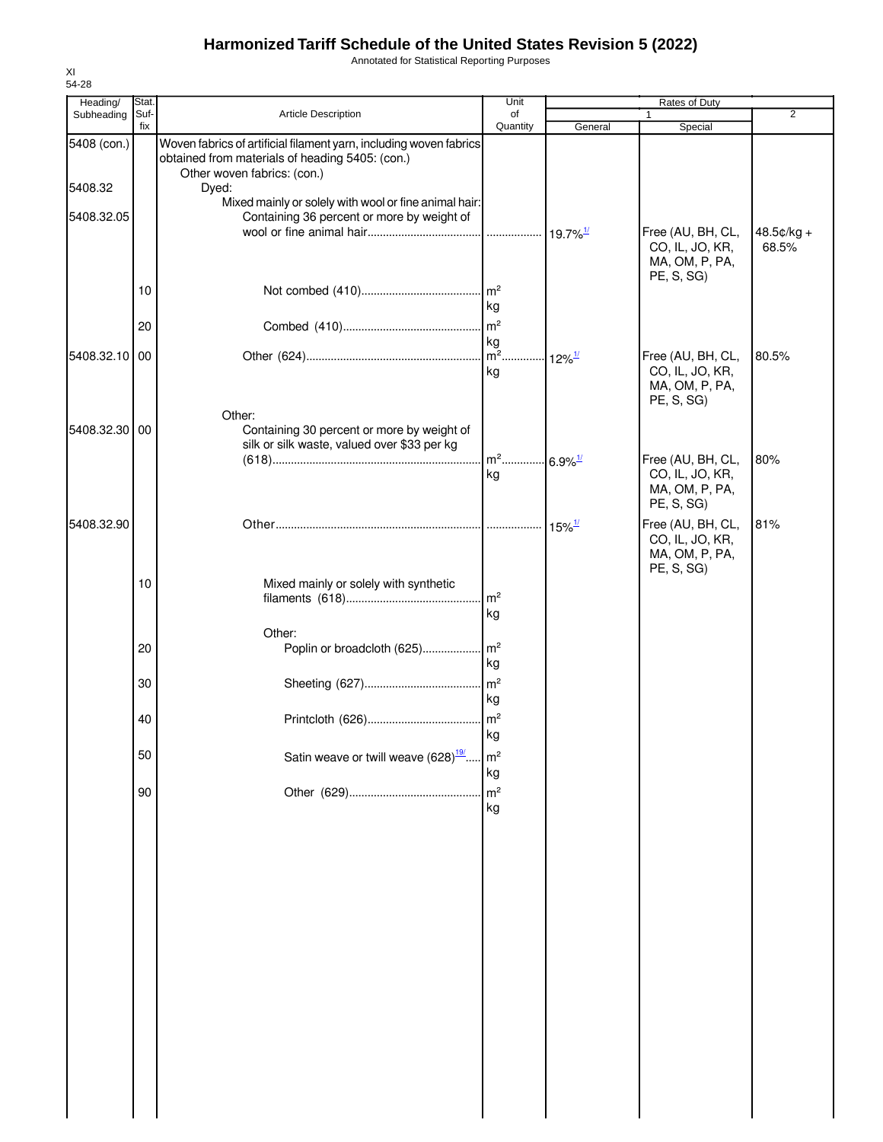Annotated for Statistical Reporting Purposes

| Heading/      | Stat. |                                                                                                                       | Unit                            |                                  |                                                                      |                     |
|---------------|-------|-----------------------------------------------------------------------------------------------------------------------|---------------------------------|----------------------------------|----------------------------------------------------------------------|---------------------|
| Subheading    | Suf-  | Article Description                                                                                                   | of                              |                                  |                                                                      | $\overline{2}$      |
| 5408 (con.)   | fix   | Woven fabrics of artificial filament yarn, including woven fabrics<br>obtained from materials of heading 5405: (con.) | Quantity                        | General                          | Special                                                              |                     |
| 5408.32       |       | Other woven fabrics: (con.)<br>Dyed:                                                                                  |                                 |                                  |                                                                      |                     |
| 5408.32.05    |       | Mixed mainly or solely with wool or fine animal hair:<br>Containing 36 percent or more by weight of                   |                                 |                                  |                                                                      |                     |
|               |       |                                                                                                                       |                                 |                                  | Free (AU, BH, CL,<br>CO, IL, JO, KR,<br>MA, OM, P, PA,<br>PE, S, SG) | 48.5¢/kg +<br>68.5% |
|               | 10    |                                                                                                                       | $\mathsf{Im}^2$<br>kg           |                                  |                                                                      |                     |
|               | 20    |                                                                                                                       | $\mathsf{m}^2$<br>kg            |                                  |                                                                      |                     |
| 5408.32.10    | 00    |                                                                                                                       | $\overline{\mathsf{m}^2}$<br>kg | $\cdot \cdot 12\%$ <sup>1/</sup> | Free (AU, BH, CL,<br>CO, IL, JO, KR,<br>MA, OM, P, PA,<br>PE, S, SG) | 80.5%               |
| 5408.32.30 00 |       | Other:<br>Containing 30 percent or more by weight of<br>silk or silk waste, valued over \$33 per kg                   |                                 |                                  |                                                                      |                     |
|               |       |                                                                                                                       | $m^2$<br>kg                     | $6.9\%$ <sup>1/</sup>            | Free (AU, BH, CL,<br>CO, IL, JO, KR,<br>MA, OM, P, PA,<br>PE, S, SG) | 80%                 |
| 5408.32.90    |       |                                                                                                                       |                                 | $15\%$ <sup>1/</sup>             | Free (AU, BH, CL,<br>CO, IL, JO, KR,<br>MA, OM, P, PA,<br>PE, S, SG) | 81%                 |
|               | 10    | Mixed mainly or solely with synthetic                                                                                 | $\mathsf{Im}^2$<br>kg           |                                  |                                                                      |                     |
|               | 20    | Other:                                                                                                                | kg                              |                                  |                                                                      |                     |
|               | 30    |                                                                                                                       | m <sup>2</sup><br>kg            |                                  |                                                                      |                     |
|               | 40    |                                                                                                                       | $\mathsf{Im}^2$<br>kg           |                                  |                                                                      |                     |
|               | 50    | Satin weave or twill weave $(628)^{\frac{19}{}}$                                                                      | m <sup>2</sup><br>kg            |                                  |                                                                      |                     |
|               | 90    |                                                                                                                       | m <sup>2</sup><br>kg            |                                  |                                                                      |                     |
|               |       |                                                                                                                       |                                 |                                  |                                                                      |                     |
|               |       |                                                                                                                       |                                 |                                  |                                                                      |                     |
|               |       |                                                                                                                       |                                 |                                  |                                                                      |                     |
|               |       |                                                                                                                       |                                 |                                  |                                                                      |                     |
|               |       |                                                                                                                       |                                 |                                  |                                                                      |                     |
|               |       |                                                                                                                       |                                 |                                  |                                                                      |                     |
|               |       |                                                                                                                       |                                 |                                  |                                                                      |                     |
|               |       |                                                                                                                       |                                 |                                  |                                                                      |                     |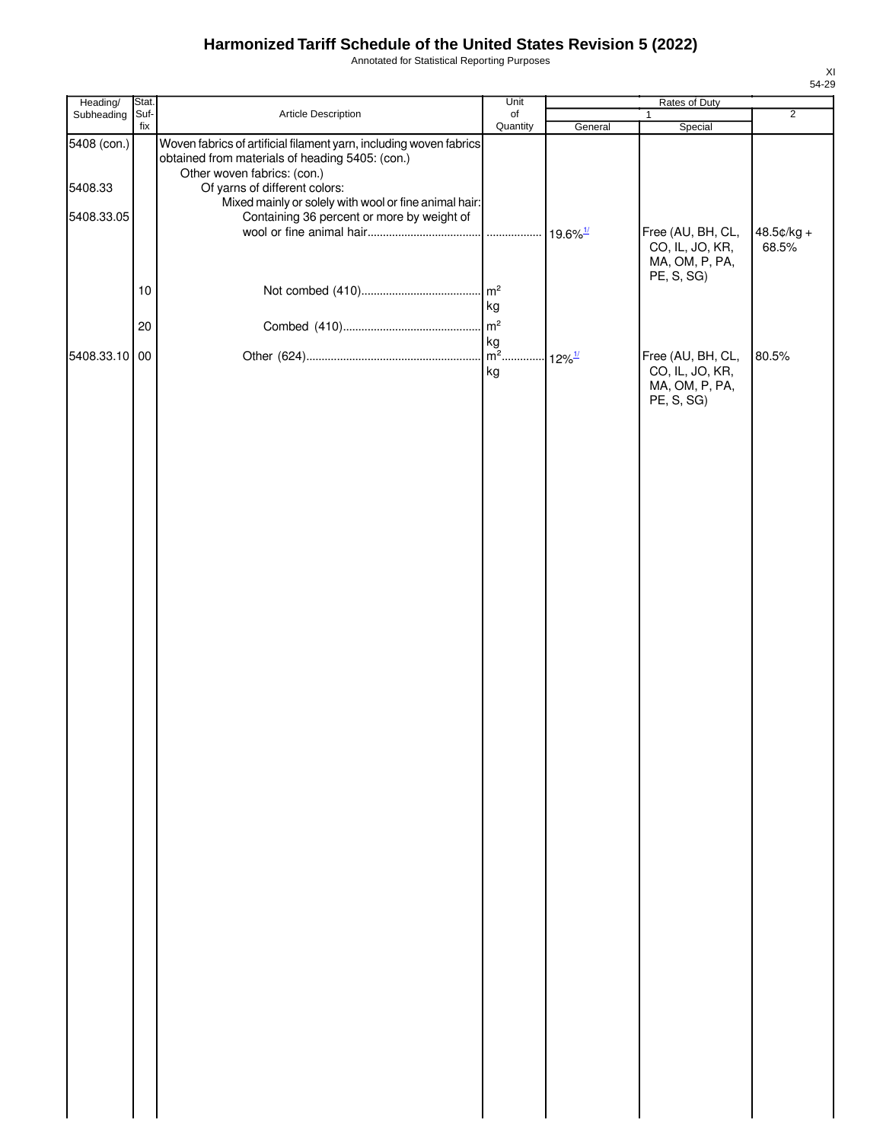Annotated for Statistical Reporting Purposes

| $\overline{2}$<br>Subheading Suf-<br>Article Description<br>of<br>$\mathbf{1}$<br>Quantity<br>fix<br>General<br>Special<br>Woven fabrics of artificial filament yarn, including woven fabrics<br>5408 (con.)<br>obtained from materials of heading 5405: (con.)<br>Other woven fabrics: (con.)<br>5408.33<br>Of yarns of different colors:<br>Mixed mainly or solely with wool or fine animal hair:<br>5408.33.05<br>Containing 36 percent or more by weight of<br>Free (AU, BH, CL,<br>CO, IL, JO, KR,<br>68.5%<br>MA, OM, P, PA,<br>PE, S, SG)<br>$\mathsf{m}^2$<br>$10$<br>kg<br>$\mathsf{m}^2$<br>20<br>Free (AU, BH, CL,<br>5408.33.10 00<br>80.5%<br>kg<br>CO, IL, JO, KR,<br>MA, OM, P, PA,<br>PE, S, SG) | Heading/ | Stat. | Unit | Rates of Duty |  |            |  |
|------------------------------------------------------------------------------------------------------------------------------------------------------------------------------------------------------------------------------------------------------------------------------------------------------------------------------------------------------------------------------------------------------------------------------------------------------------------------------------------------------------------------------------------------------------------------------------------------------------------------------------------------------------------------------------------------------------------|----------|-------|------|---------------|--|------------|--|
|                                                                                                                                                                                                                                                                                                                                                                                                                                                                                                                                                                                                                                                                                                                  |          |       |      |               |  |            |  |
|                                                                                                                                                                                                                                                                                                                                                                                                                                                                                                                                                                                                                                                                                                                  |          |       |      |               |  |            |  |
|                                                                                                                                                                                                                                                                                                                                                                                                                                                                                                                                                                                                                                                                                                                  |          |       |      |               |  | 48.5¢/kg + |  |
|                                                                                                                                                                                                                                                                                                                                                                                                                                                                                                                                                                                                                                                                                                                  |          |       |      |               |  |            |  |
|                                                                                                                                                                                                                                                                                                                                                                                                                                                                                                                                                                                                                                                                                                                  |          |       |      |               |  |            |  |
|                                                                                                                                                                                                                                                                                                                                                                                                                                                                                                                                                                                                                                                                                                                  |          |       |      |               |  |            |  |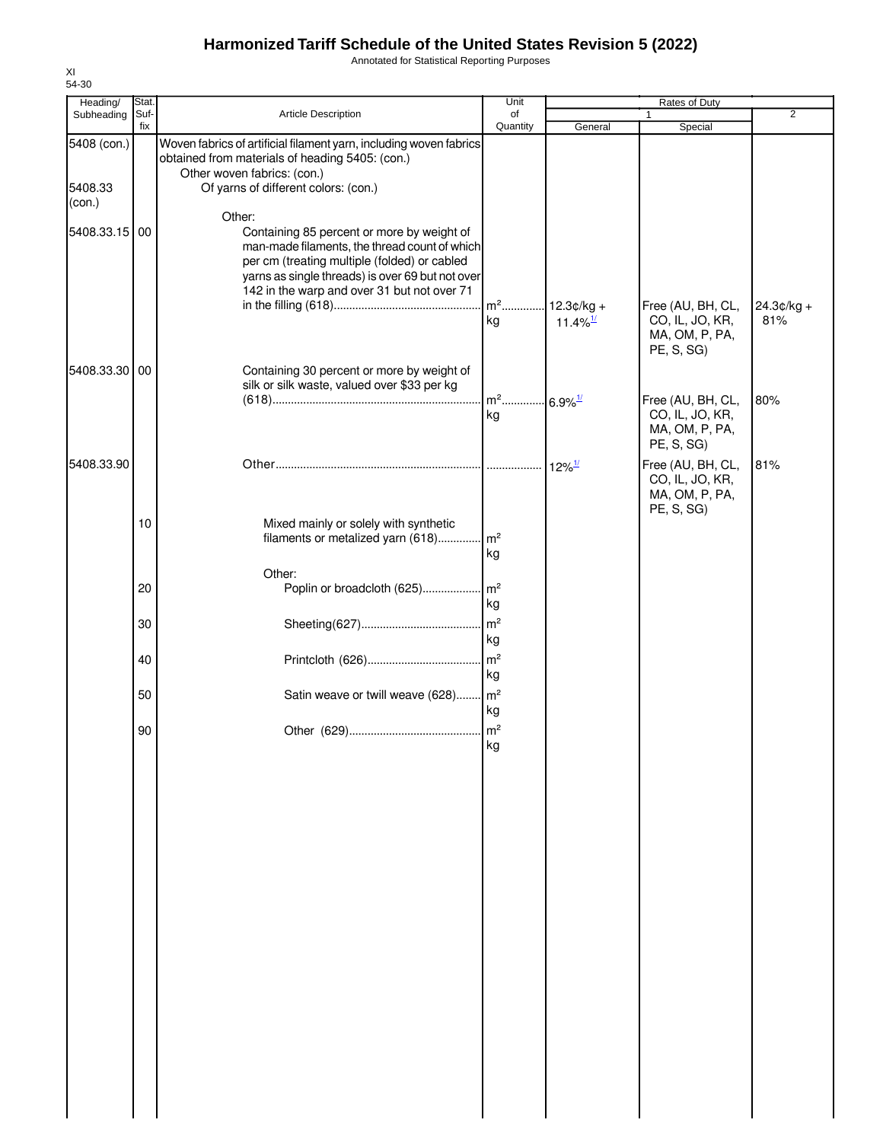Annotated for Statistical Reporting Purposes

| Heading/               | Stat.       |                                                                                                                                                                                                                                                          | Unit                                    |                                                  |                                                                      |                     |
|------------------------|-------------|----------------------------------------------------------------------------------------------------------------------------------------------------------------------------------------------------------------------------------------------------------|-----------------------------------------|--------------------------------------------------|----------------------------------------------------------------------|---------------------|
| Subheading             | Suf-<br>fix | Article Description                                                                                                                                                                                                                                      | of<br>Quantity                          | General                                          | 1<br>Special                                                         | $\overline{2}$      |
| 5408 (con.)<br>5408.33 |             | Woven fabrics of artificial filament yarn, including woven fabrics<br>obtained from materials of heading 5405: (con.)<br>Other woven fabrics: (con.)<br>Of yarns of different colors: (con.)                                                             |                                         |                                                  |                                                                      |                     |
| (con.)                 |             |                                                                                                                                                                                                                                                          |                                         |                                                  |                                                                      |                     |
| 5408.33.15 00          |             | Other:<br>Containing 85 percent or more by weight of<br>man-made filaments, the thread count of which<br>per cm (treating multiple (folded) or cabled<br>yarns as single threads) is over 69 but not over<br>142 in the warp and over 31 but not over 71 |                                         |                                                  |                                                                      |                     |
|                        |             |                                                                                                                                                                                                                                                          | kg                                      | m <sup>2</sup> 12.3¢/kg +<br>11.4% $\frac{1}{2}$ | Free (AU, BH, CL,<br>CO, IL, JO, KR,<br>MA, OM, P, PA,<br>PE, S, SG) | $24.3¢/kg +$<br>81% |
| 5408.33.30 00          |             | Containing 30 percent or more by weight of<br>silk or silk waste, valued over \$33 per kg                                                                                                                                                                |                                         |                                                  |                                                                      |                     |
|                        |             |                                                                                                                                                                                                                                                          | m <sup>2</sup> 6.9% <sup>1/</sup><br>kg |                                                  | Free (AU, BH, CL,<br>CO, IL, JO, KR,<br>MA, OM, P, PA,<br>PE, S, SG) | 80%                 |
| 5408.33.90             |             |                                                                                                                                                                                                                                                          |                                         |                                                  | Free (AU, BH, CL,<br>CO, IL, JO, KR,<br>MA, OM, P, PA,<br>PE, S, SG) | 81%                 |
|                        | 10          | Mixed mainly or solely with synthetic<br>filaments or metalized yarn (618)                                                                                                                                                                               | m <sup>2</sup><br>kg                    |                                                  |                                                                      |                     |
|                        | 20          | Other:<br>Poplin or broadcloth (625)                                                                                                                                                                                                                     | $\mathsf{Im}^2$<br>kg                   |                                                  |                                                                      |                     |
|                        | 30          |                                                                                                                                                                                                                                                          | m <sup>2</sup><br>kg                    |                                                  |                                                                      |                     |
|                        | 40          |                                                                                                                                                                                                                                                          | m <sup>2</sup><br>kg                    |                                                  |                                                                      |                     |
|                        | 50          | Satin weave or twill weave (628) m <sup>2</sup>                                                                                                                                                                                                          | kg                                      |                                                  |                                                                      |                     |
|                        | 90          |                                                                                                                                                                                                                                                          | kg                                      |                                                  |                                                                      |                     |
|                        |             |                                                                                                                                                                                                                                                          |                                         |                                                  |                                                                      |                     |
|                        |             |                                                                                                                                                                                                                                                          |                                         |                                                  |                                                                      |                     |
|                        |             |                                                                                                                                                                                                                                                          |                                         |                                                  |                                                                      |                     |
|                        |             |                                                                                                                                                                                                                                                          |                                         |                                                  |                                                                      |                     |
|                        |             |                                                                                                                                                                                                                                                          |                                         |                                                  |                                                                      |                     |
|                        |             |                                                                                                                                                                                                                                                          |                                         |                                                  |                                                                      |                     |
|                        |             |                                                                                                                                                                                                                                                          |                                         |                                                  |                                                                      |                     |
|                        |             |                                                                                                                                                                                                                                                          |                                         |                                                  |                                                                      |                     |
|                        |             |                                                                                                                                                                                                                                                          |                                         |                                                  |                                                                      |                     |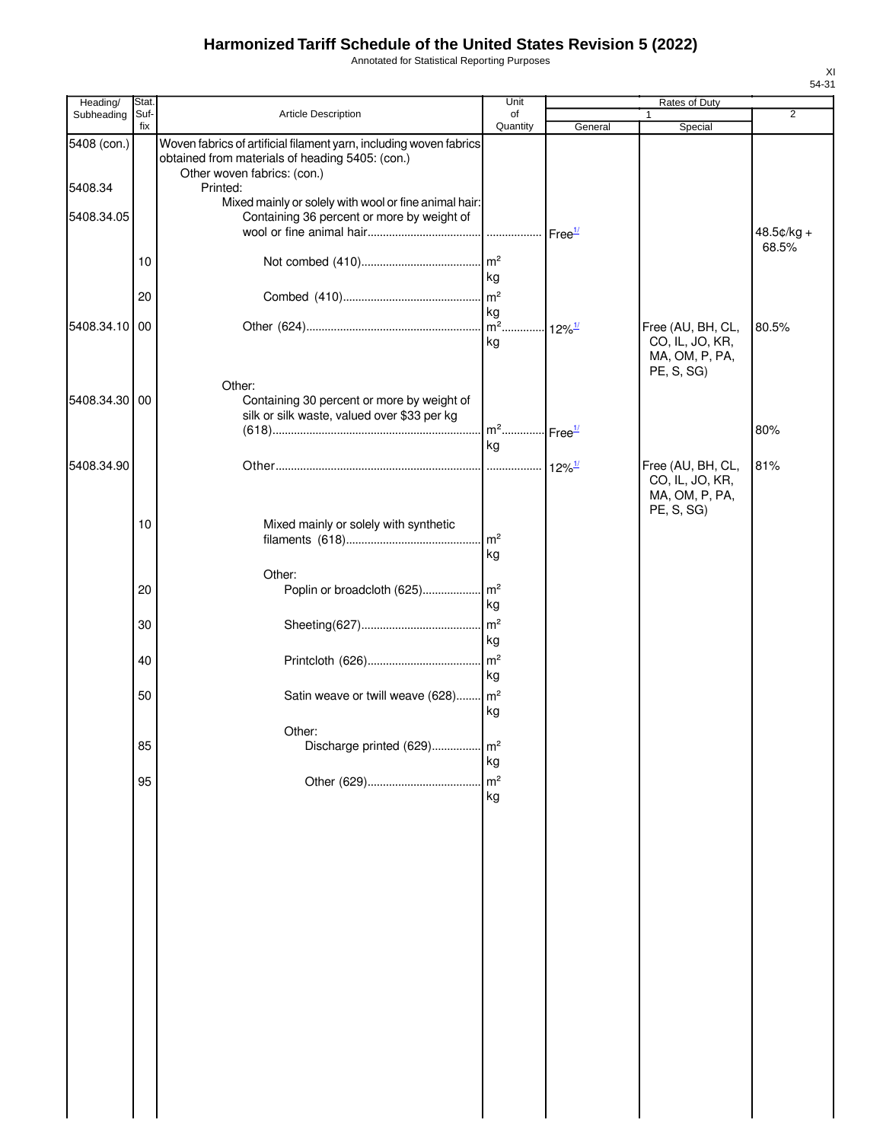Annotated for Statistical Reporting Purposes

| Heading/      | Stat.       |                                                                                                                                                      | Unit                              |                      | Rates of Duty                                                        |                |
|---------------|-------------|------------------------------------------------------------------------------------------------------------------------------------------------------|-----------------------------------|----------------------|----------------------------------------------------------------------|----------------|
| Subheading    | Suf-<br>fix | Article Description                                                                                                                                  | of<br>Quantity                    | General              | 1<br>Special                                                         | $\overline{2}$ |
| 5408 (con.)   |             | Woven fabrics of artificial filament yarn, including woven fabrics<br>obtained from materials of heading 5405: (con.)<br>Other woven fabrics: (con.) |                                   |                      |                                                                      |                |
| 5408.34       |             | Printed:                                                                                                                                             |                                   |                      |                                                                      |                |
| 5408.34.05    |             | Mixed mainly or solely with wool or fine animal hair:<br>Containing 36 percent or more by weight of                                                  |                                   |                      |                                                                      | 48.5¢/kg +     |
|               | 10          |                                                                                                                                                      | kg                                |                      |                                                                      | 68.5%          |
|               | 20          |                                                                                                                                                      |                                   |                      |                                                                      |                |
| 5408.34.10    | 00          |                                                                                                                                                      | kg<br>kg                          |                      | Free (AU, BH, CL,<br>CO, IL, JO, KR,                                 | 80.5%          |
|               |             | Other:                                                                                                                                               |                                   |                      | MA, OM, P, PA,<br>PE, S, SG)                                         |                |
| 5408.34.30 00 |             | Containing 30 percent or more by weight of<br>silk or silk waste, valued over \$33 per kg                                                            | m <sup>2</sup> Free <sup>1/</sup> |                      |                                                                      | 80%            |
|               |             |                                                                                                                                                      | kg                                |                      |                                                                      |                |
| 5408.34.90    |             |                                                                                                                                                      |                                   | $12\%$ <sup>1/</sup> | Free (AU, BH, CL,<br>CO, IL, JO, KR,<br>MA, OM, P, PA,<br>PE, S, SG) | 81%            |
|               | 10          | Mixed mainly or solely with synthetic                                                                                                                | kg                                |                      |                                                                      |                |
|               |             | Other:                                                                                                                                               |                                   |                      |                                                                      |                |
|               | 20          |                                                                                                                                                      | kg                                |                      |                                                                      |                |
|               | 30          |                                                                                                                                                      | kg                                |                      |                                                                      |                |
|               | 40          |                                                                                                                                                      | kg                                |                      |                                                                      |                |
|               | 50          | Satin weave or twill weave (628) m <sup>2</sup>                                                                                                      | kg                                |                      |                                                                      |                |
|               | 85          | Other:<br>Discharge printed (629)                                                                                                                    | m <sup>2</sup>                    |                      |                                                                      |                |
|               |             |                                                                                                                                                      | kg                                |                      |                                                                      |                |
|               | 95          |                                                                                                                                                      | $\sqrt{m^2}$<br>kg                |                      |                                                                      |                |
|               |             |                                                                                                                                                      |                                   |                      |                                                                      |                |
|               |             |                                                                                                                                                      |                                   |                      |                                                                      |                |
|               |             |                                                                                                                                                      |                                   |                      |                                                                      |                |
|               |             |                                                                                                                                                      |                                   |                      |                                                                      |                |
|               |             |                                                                                                                                                      |                                   |                      |                                                                      |                |
|               |             |                                                                                                                                                      |                                   |                      |                                                                      |                |
|               |             |                                                                                                                                                      |                                   |                      |                                                                      |                |
|               |             |                                                                                                                                                      |                                   |                      |                                                                      |                |